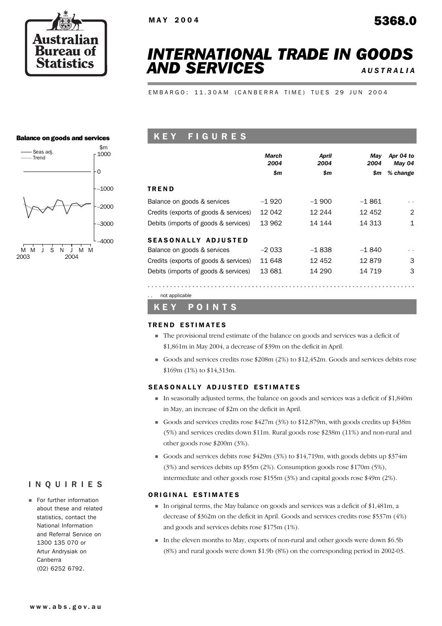

# *INTERNATIONAL TRADE IN GOODS AND SERVICES AUSTRALIA*

EMBARGO: 11.30AM (CANBERRA TIME) TUES 29 JUN 2004

### Balance on goods and services



| KEY FIGURES |  |  |
|-------------|--|--|
|             |  |  |

|                                       | March<br>2004 | April<br>2004 | May<br>2004 | Apr 04 to<br>May 04 |
|---------------------------------------|---------------|---------------|-------------|---------------------|
|                                       | \$m           | \$m           | \$m         | % change            |
| TREND                                 |               |               |             |                     |
| Balance on goods & services           | $-1920$       | $-1.900$      | $-1.861$    |                     |
| Credits (exports of goods & services) | 12 042        | 12 244        | 12 452      | 2                   |
| Debits (imports of goods & services)  | 13 962        | 14 144        | 14 313      | 1                   |
| SEASONALLY ADJUSTED                   |               |               |             |                     |
| Balance on goods & services           | $-2033$       | $-1838$       | $-1840$     | $\sim$              |
| Credits (exports of goods & services) | 11 648        | 12 452        | 12879       | 3                   |
| Debits (imports of goods & services)  | 13 681        | 14 290        | 14 719      | 3                   |
|                                       |               |               |             |                     |

not applicable

K E Y P O I N T S

### TREND ESTIMATES

- ! The provisional trend estimate of the balance on goods and services was a deficit of \$1,861m in May 2004, a decrease of \$39m on the deficit in April.
- Goods and services credits rose \$208m (2%) to \$12,452m. Goods and services debits rose \$169m (1%) to \$14,313m.

### SEASONALLY ADJUSTED ESTIMATES

- $\blacksquare$  In seasonally adjusted terms, the balance on goods and services was a deficit of \$1,840m in May, an increase of \$2m on the deficit in April.
- ! Goods and services credits rose \$427m (3%) to \$12,879m, with goods credits up \$438m (5%) and services credits down \$11m. Rural goods rose \$238m (11%) and non-rural and other goods rose \$200m (3%).
- Goods and services debits rose  $$429m (3%)$  to  $$14,719m$ , with goods debits up  $$374m$ (3%) and services debits up \$55m (2%). Consumption goods rose \$170m (5%), intermediate and other goods rose \$155m (3%) and capital goods rose \$49m (2%).

### ORIGINAL ESTIMATES

- ! In original terms, the May balance on goods and services was a deficit of \$1,481m, a decrease of \$362m on the deficit in April. Goods and services credits rose \$537m (4%) and goods and services debits rose \$175m (1%).
- ! In the eleven months to May, exports of non-rural and other goods were down \$6.5b (8%) and rural goods were down \$1.9b (8%) on the corresponding period in 2002-03.

# INQUIRIES

**Example 1** For further information about these and related statistics, contact the National Information and Referral Service on 1300 135 070 or Artur Andrysiak on Canberra (02) 6252 6792.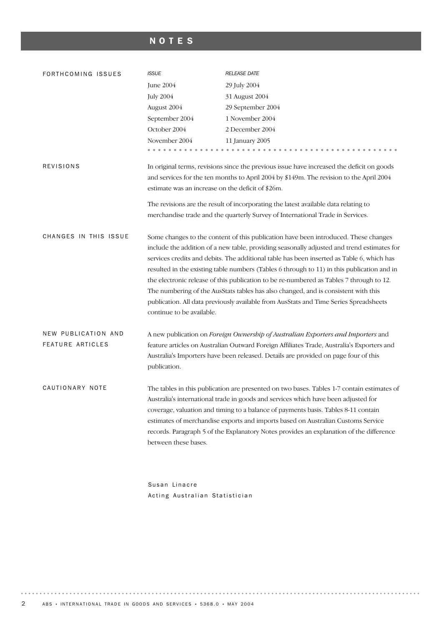# NOTES

| FORTHCOMING ISSUES                             | <b>ISSUE</b>                                                                                                                                                                                                                                                                                                                                                                                                                                                                                                                                                                                                                                                                        | <b>RELEASE DATE</b>                                                                                                                                                                                                                                                                                                                                                                                                                                   |  |  |  |  |  |  |
|------------------------------------------------|-------------------------------------------------------------------------------------------------------------------------------------------------------------------------------------------------------------------------------------------------------------------------------------------------------------------------------------------------------------------------------------------------------------------------------------------------------------------------------------------------------------------------------------------------------------------------------------------------------------------------------------------------------------------------------------|-------------------------------------------------------------------------------------------------------------------------------------------------------------------------------------------------------------------------------------------------------------------------------------------------------------------------------------------------------------------------------------------------------------------------------------------------------|--|--|--|--|--|--|
|                                                | June 2004                                                                                                                                                                                                                                                                                                                                                                                                                                                                                                                                                                                                                                                                           | 29 July 2004                                                                                                                                                                                                                                                                                                                                                                                                                                          |  |  |  |  |  |  |
|                                                | <b>July 2004</b>                                                                                                                                                                                                                                                                                                                                                                                                                                                                                                                                                                                                                                                                    | 31 August 2004                                                                                                                                                                                                                                                                                                                                                                                                                                        |  |  |  |  |  |  |
|                                                | August 2004                                                                                                                                                                                                                                                                                                                                                                                                                                                                                                                                                                                                                                                                         | 29 September 2004                                                                                                                                                                                                                                                                                                                                                                                                                                     |  |  |  |  |  |  |
|                                                | September 2004                                                                                                                                                                                                                                                                                                                                                                                                                                                                                                                                                                                                                                                                      | 1 November 2004                                                                                                                                                                                                                                                                                                                                                                                                                                       |  |  |  |  |  |  |
|                                                | October 2004                                                                                                                                                                                                                                                                                                                                                                                                                                                                                                                                                                                                                                                                        | 2 December 2004                                                                                                                                                                                                                                                                                                                                                                                                                                       |  |  |  |  |  |  |
|                                                | November 2004                                                                                                                                                                                                                                                                                                                                                                                                                                                                                                                                                                                                                                                                       | 11 January 2005                                                                                                                                                                                                                                                                                                                                                                                                                                       |  |  |  |  |  |  |
|                                                |                                                                                                                                                                                                                                                                                                                                                                                                                                                                                                                                                                                                                                                                                     |                                                                                                                                                                                                                                                                                                                                                                                                                                                       |  |  |  |  |  |  |
| <b>REVISIONS</b>                               | In original terms, revisions since the previous issue have increased the deficit on goods                                                                                                                                                                                                                                                                                                                                                                                                                                                                                                                                                                                           |                                                                                                                                                                                                                                                                                                                                                                                                                                                       |  |  |  |  |  |  |
|                                                |                                                                                                                                                                                                                                                                                                                                                                                                                                                                                                                                                                                                                                                                                     | and services for the ten months to April 2004 by \$149m. The revision to the April 2004                                                                                                                                                                                                                                                                                                                                                               |  |  |  |  |  |  |
|                                                | estimate was an increase on the deficit of \$26m.                                                                                                                                                                                                                                                                                                                                                                                                                                                                                                                                                                                                                                   |                                                                                                                                                                                                                                                                                                                                                                                                                                                       |  |  |  |  |  |  |
|                                                | The revisions are the result of incorporating the latest available data relating to                                                                                                                                                                                                                                                                                                                                                                                                                                                                                                                                                                                                 |                                                                                                                                                                                                                                                                                                                                                                                                                                                       |  |  |  |  |  |  |
|                                                | merchandise trade and the quarterly Survey of International Trade in Services.                                                                                                                                                                                                                                                                                                                                                                                                                                                                                                                                                                                                      |                                                                                                                                                                                                                                                                                                                                                                                                                                                       |  |  |  |  |  |  |
| CHANGES IN THIS ISSUE                          | Some changes to the content of this publication have been introduced. These changes<br>include the addition of a new table, providing seasonally adjusted and trend estimates for<br>services credits and debits. The additional table has been inserted as Table 6, which has<br>resulted in the existing table numbers (Tables 6 through to 11) in this publication and in<br>the electronic release of this publication to be re-numbered as Tables 7 through to 12.<br>The numbering of the AusStats tables has also changed, and is consistent with this<br>publication. All data previously available from AusStats and Time Series Spreadsheets<br>continue to be available. |                                                                                                                                                                                                                                                                                                                                                                                                                                                       |  |  |  |  |  |  |
| NEW PUBLICATION AND<br><b>FEATURE ARTICLES</b> | publication.                                                                                                                                                                                                                                                                                                                                                                                                                                                                                                                                                                                                                                                                        | A new publication on Foreign Ownership of Australian Exporters and Importers and<br>feature articles on Australian Outward Foreign Affiliates Trade, Australia's Exporters and<br>Australia's Importers have been released. Details are provided on page four of this                                                                                                                                                                                 |  |  |  |  |  |  |
| CAUTIONARY NOTE                                | between these bases.                                                                                                                                                                                                                                                                                                                                                                                                                                                                                                                                                                                                                                                                | The tables in this publication are presented on two bases. Tables 1-7 contain estimates of<br>Australia's international trade in goods and services which have been adjusted for<br>coverage, valuation and timing to a balance of payments basis. Tables 8-11 contain<br>estimates of merchandise exports and imports based on Australian Customs Service<br>records. Paragraph 5 of the Explanatory Notes provides an explanation of the difference |  |  |  |  |  |  |

Susan Linacre Acting Australian Statistician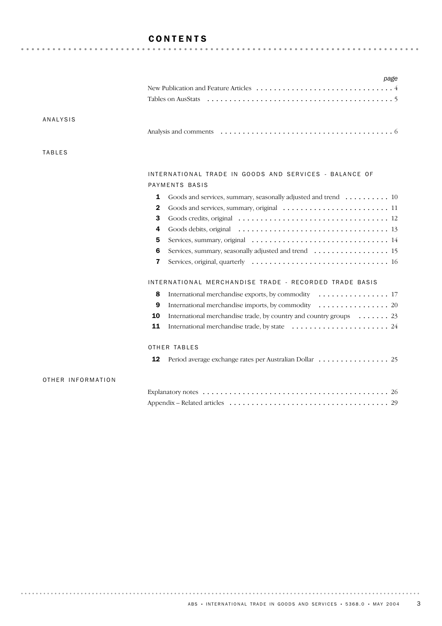# CONTENTS

|                   | page                                                                                                                                   |
|-------------------|----------------------------------------------------------------------------------------------------------------------------------------|
|                   |                                                                                                                                        |
|                   | Tables on AusStats                                                                                                                     |
|                   |                                                                                                                                        |
| <b>ANALYSIS</b>   |                                                                                                                                        |
|                   |                                                                                                                                        |
|                   |                                                                                                                                        |
| <b>TABLES</b>     |                                                                                                                                        |
|                   |                                                                                                                                        |
|                   | INTERNATIONAL TRADE IN GOODS AND SERVICES - BALANCE OF                                                                                 |
|                   | PAYMENTS BASIS                                                                                                                         |
|                   | 1<br>Goods and services, summary, seasonally adjusted and trend  10                                                                    |
|                   | 2<br>Goods and services, summary, original $\dots \dots \dots \dots \dots \dots \dots \dots \dots \dots \dots \dots \dots \dots \dots$ |
|                   | 3                                                                                                                                      |
|                   | 4                                                                                                                                      |
|                   | 5                                                                                                                                      |
|                   | Services, summary, seasonally adjusted and trend 15<br>6                                                                               |
|                   | 7                                                                                                                                      |
|                   | INTERNATIONAL MERCHANDISE TRADE - RECORDED TRADE BASIS                                                                                 |
|                   | 8<br>International merchandise exports, by commodity $\dots \dots \dots \dots \dots \dots 17$                                          |
|                   | 9                                                                                                                                      |
|                   | International merchandise trade, by country and country groups $\dots \dots 23$<br>10                                                  |
|                   | 11                                                                                                                                     |
|                   | OTHER TABLES                                                                                                                           |
|                   |                                                                                                                                        |
|                   | 12                                                                                                                                     |
| OTHER INFORMATION |                                                                                                                                        |
|                   |                                                                                                                                        |
|                   |                                                                                                                                        |
|                   |                                                                                                                                        |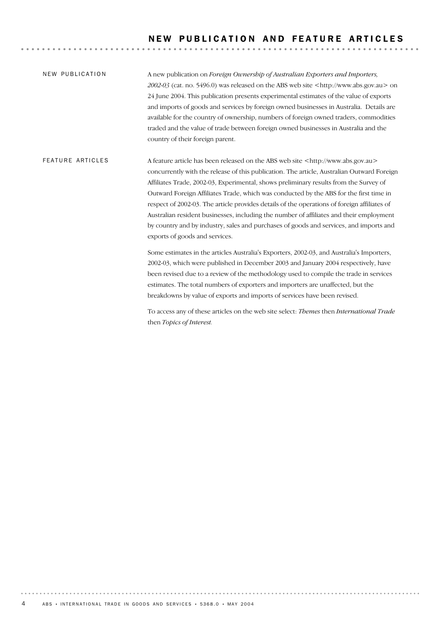A new publication on *Foreign Ownership of Australian Exporters and Importers, 2002-03* (cat. no. 5496.0) was released on the ABS web site <http://www.abs.gov.au> on 24 June 2004. This publication presents experimental estimates of the value of exports and imports of goods and services by foreign owned businesses in Australia. Details are available for the country of ownership, numbers of foreign owned traders, commodities traded and the value of trade between foreign owned businesses in Australia and the country of their foreign parent. NEW PUBLICATION

A feature article has been released on the ABS web site <http://www.abs.gov.au> concurrently with the release of this publication. The article, Australian Outward Foreign Affiliates Trade, 2002-03, Experimental, shows preliminary results from the Survey of Outward Foreign Affiliates Trade, which was conducted by the ABS for the first time in respect of 2002-03. The article provides details of the operations of foreign affiliates of Australian resident businesses, including the number of affiliates and their employment by country and by industry, sales and purchases of goods and services, and imports and exports of goods and services. **FEATURE ARTICLES** 

> Some estimates in the articles Australia's Exporters, 2002-03, and Australia's Importers, 2002-03, which were published in December 2003 and January 2004 respectively, have been revised due to a review of the methodology used to compile the trade in services estimates. The total numbers of exporters and importers are unaffected, but the breakdowns by value of exports and imports of services have been revised.

To access any of these articles on the web site select: *Themes* then *International Trade* then *Topics of Interest.*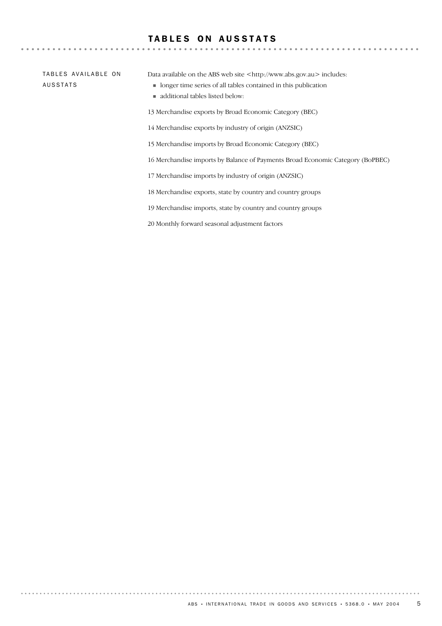# TABLES ON AUSSTATS

TABLES AVAILABLE ON AUSSTATS

Data available on the ABS web site <http://www.abs.gov.au> includes:

- ! longer time series of all tables contained in this publication
- ! additional tables listed below:

13 Merchandise exports by Broad Economic Category (BEC)

14 Merchandise exports by industry of origin (ANZSIC)

15 Merchandise imports by Broad Economic Category (BEC)

16 Merchandise imports by Balance of Payments Broad Economic Category (BoPBEC)

17 Merchandise imports by industry of origin (ANZSIC)

18 Merchandise exports, state by country and country groups

19 Merchandise imports, state by country and country groups

20 Monthly forward seasonal adjustment factors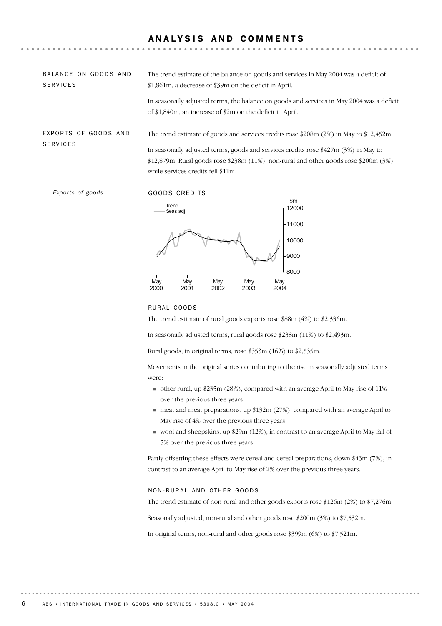# ANALYSIS AND COMMENTS

| BALANCE ON GOODS AND<br><b>SERVICES</b> | The trend estimate of the balance on goods and services in May 2004 was a deficit of<br>\$1,861m, a decrease of \$39m on the deficit in April.                                                                                                                                                                      |  |  |  |  |  |  |
|-----------------------------------------|---------------------------------------------------------------------------------------------------------------------------------------------------------------------------------------------------------------------------------------------------------------------------------------------------------------------|--|--|--|--|--|--|
|                                         | In seasonally adjusted terms, the balance on goods and services in May 2004 was a deficit<br>of \$1,840m, an increase of \$2m on the deficit in April.                                                                                                                                                              |  |  |  |  |  |  |
| EXPORTS OF GOODS AND<br><b>SERVICES</b> | The trend estimate of goods and services credits rose \$208m (2%) in May to \$12,452m.<br>In seasonally adjusted terms, goods and services credits rose $$427m (3%)$ in May to<br>$$12,879$ m. Rural goods rose $$238m (11%)$ , non-rural and other goods rose $$200m (3%)$ ,<br>while services credits fell \$11m. |  |  |  |  |  |  |

**Exports of goods GOODS CREDITS** 



### RURAL GOODS

The trend estimate of rural goods exports rose \$88m (4%) to \$2,336m.

In seasonally adjusted terms, rural goods rose \$238m (11%) to \$2,493m.

Rural goods, in original terms, rose \$353m (16%) to \$2,535m.

Movements in the original series contributing to the rise in seasonally adjusted terms were:

- $\blacksquare$  other rural, up \$235m (28%), compared with an average April to May rise of 11% over the previous three years
- ! meat and meat preparations, up \$132m (27%), compared with an average April to May rise of 4% over the previous three years
- ! wool and sheepskins, up \$29m (12%), in contrast to an average April to May fall of 5% over the previous three years.

Partly offsetting these effects were cereal and cereal preparations, down \$43m (7%), in contrast to an average April to May rise of 2% over the previous three years.

### NON-RURAL AND OTHER GOODS

The trend estimate of non-rural and other goods exports rose \$126m (2%) to \$7,276m.

Seasonally adjusted, non-rural and other goods rose \$200m (3%) to \$7,532m.

In original terms, non-rural and other goods rose \$399m (6%) to \$7,521m.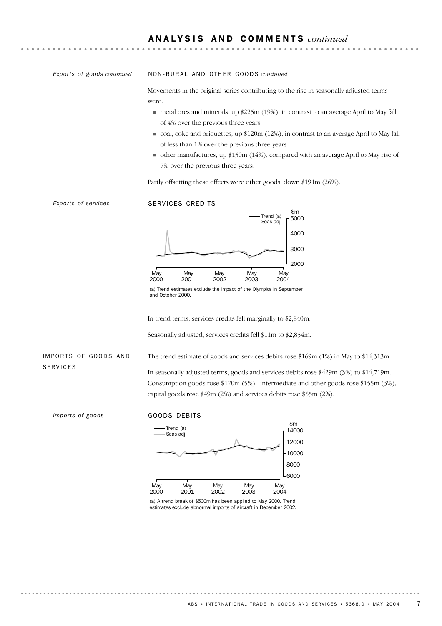*Exports of goods continued*

### NO N - R U R A L AN D OT H E R GO O D S *continued*

Movements in the original series contributing to the rise in seasonally adjusted terms were:

- ! metal ores and minerals, up \$225m (19%), in contrast to an average April to May fall of 4% over the previous three years
- ! coal, coke and briquettes, up \$120m (12%), in contrast to an average April to May fall of less than 1% over the previous three years
- ! other manufactures, up \$150m (14%), compared with an average April to May rise of 7% over the previous three years.

Partly offsetting these effects were other goods, down \$191m (26%).

*Exports of services* SERVICES CREDITS



<sup>(</sup>a) Trend estimates exclude the impact of the Olympics in September and October 2000.

In trend terms, services credits fell marginally to \$2,840m.

Seasonally adjusted, services credits fell \$11m to \$2,854m.

### IMPORTS OF GOODS AND SERVICES

In seasonally adjusted terms, goods and services debits rose \$429m (3%) to \$14,719m. Consumption goods rose \$170m (5%), intermediate and other goods rose \$155m (3%), capital goods rose \$49m (2%) and services debits rose \$55m (2%).

The trend estimate of goods and services debits rose \$169m (1%) in May to \$14,313m.

*Imports of goods* GOODS DEBITS



(a) A trend break of \$500m has been applied to May 2000. Trend estimates exclude abnormal imports of aircraft in December 2002.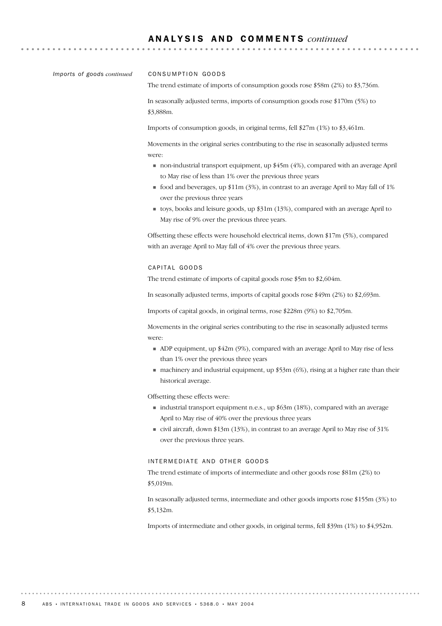### A N A L Y S I S A N D C O M M E N T S *continued*

*Imports of goods continued*

### CONSUMPTION GOODS

The trend estimate of imports of consumption goods rose \$58m (2%) to \$3,736m.

In seasonally adjusted terms, imports of consumption goods rose \$170m (5%) to \$3,888m.

Imports of consumption goods, in original terms, fell \$27m (1%) to \$3,461m.

Movements in the original series contributing to the rise in seasonally adjusted terms were:

- ! non-industrial transport equipment, up \$45m (4%), compared with an average April to May rise of less than 1% over the previous three years
- $\blacksquare$  food and beverages, up \$11m (3%), in contrast to an average April to May fall of 1% over the previous three years
- toys, books and leisure goods, up  $$31m (13%)$ , compared with an average April to May rise of 9% over the previous three years.

Offsetting these effects were household electrical items, down \$17m (5%), compared with an average April to May fall of 4% over the previous three years.

### CAPITAL GOODS

The trend estimate of imports of capital goods rose \$5m to \$2,604m.

In seasonally adjusted terms, imports of capital goods rose \$49m (2%) to \$2,693m.

Imports of capital goods, in original terms, rose \$228m (9%) to \$2,705m.

Movements in the original series contributing to the rise in seasonally adjusted terms were:

- $\blacksquare$  ADP equipment, up \$42m (9%), compared with an average April to May rise of less than 1% over the previous three years
- $\blacksquare$  machinery and industrial equipment, up \$53m (6%), rising at a higher rate than their historical average.

Offsetting these effects were:

- ! industrial transport equipment n.e.s., up \$63m (18%), compared with an average April to May rise of 40% over the previous three years
- ! civil aircraft, down \$13m (13%), in contrast to an average April to May rise of 31% over the previous three years.

### INTERMEDIATE AND OTHER GOODS

The trend estimate of imports of intermediate and other goods rose \$81m (2%) to \$5,019m.

In seasonally adjusted terms, intermediate and other goods imports rose \$155m (3%) to \$5,132m.

Imports of intermediate and other goods, in original terms, fell \$39m (1%) to \$4,952m.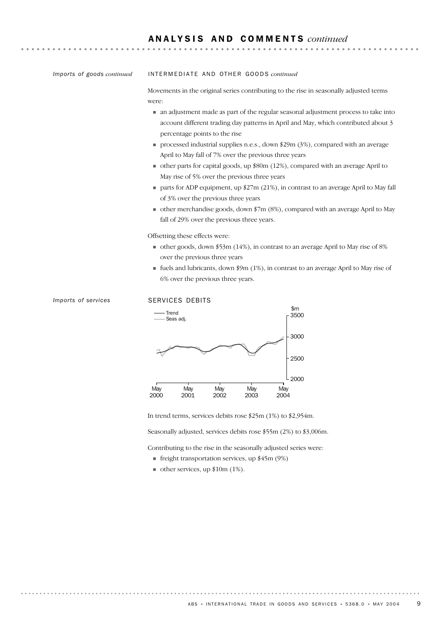*Imports of goods continued*

### INTERMEDIATE AND OTHER GOODS *continued*

Movements in the original series contributing to the rise in seasonally adjusted terms were:

- ! an adjustment made as part of the regular seasonal adjustment process to take into account different trading day patterns in April and May, which contributed about 3 percentage points to the rise
- ! processed industrial supplies n.e.s., down \$29m (3%), compared with an average April to May fall of 7% over the previous three years
- ! other parts for capital goods, up \$80m (12%), compared with an average April to May rise of 5% over the previous three years
- $\blacksquare$  parts for ADP equipment, up \$27m (21%), in contrast to an average April to May fall of 3% over the previous three years
- ! other merchandise goods, down \$7m (8%), compared with an average April to May fall of 29% over the previous three years.

Offsetting these effects were:

- $\bullet$  other goods, down \$53m (14%), in contrast to an average April to May rise of 8% over the previous three years
- $\blacksquare$  fuels and lubricants, down \$9m (1%), in contrast to an average April to May rise of 6% over the previous three years.



In trend terms, services debits rose \$25m (1%) to \$2,954m.

Seasonally adjusted, services debits rose \$55m (2%) to \$3,006m.

Contributing to the rise in the seasonally adjusted series were:

- $\blacksquare$  freight transportation services, up \$45m (9%)
- $\blacksquare$  other services, up \$10m (1%).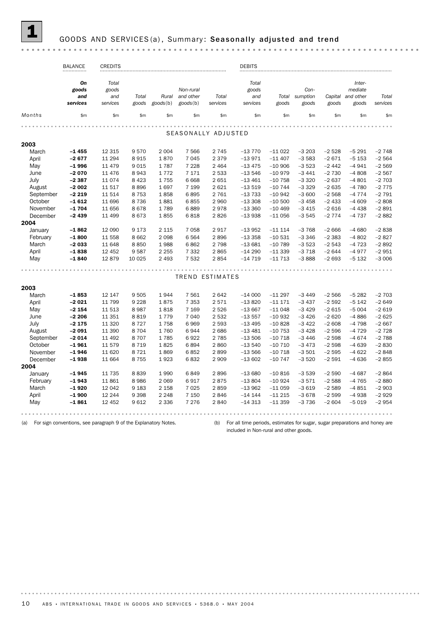# GOODS AND SERVICES (a), Summary: Seasonally adjusted and trend

| Total<br>goods<br>and<br>services<br>\$m<br>$-13770$<br>$-13971$<br>$-13475$<br>$-13546$ | Total<br>goods<br>\$m\$<br>$-11022$<br>$-11407$<br>$-10906$ | Con-<br>sumption<br>goods<br>\$m<br>$-3203$<br>$-3583$ | goods<br>\$m\$<br>$-2528$ | Inter-<br>mediate<br>Capital and other<br>goods<br>\$m<br>$-5291$ | Total<br>services<br>\$m                                                                            |  |  |  |  |  |  |  |  |  |  |  |  |  |  |
|------------------------------------------------------------------------------------------|-------------------------------------------------------------|--------------------------------------------------------|---------------------------|-------------------------------------------------------------------|-----------------------------------------------------------------------------------------------------|--|--|--|--|--|--|--|--|--|--|--|--|--|--|
|                                                                                          |                                                             |                                                        |                           |                                                                   |                                                                                                     |  |  |  |  |  |  |  |  |  |  |  |  |  |  |
|                                                                                          |                                                             |                                                        |                           |                                                                   |                                                                                                     |  |  |  |  |  |  |  |  |  |  |  |  |  |  |
|                                                                                          |                                                             |                                                        |                           |                                                                   |                                                                                                     |  |  |  |  |  |  |  |  |  |  |  |  |  |  |
|                                                                                          |                                                             |                                                        |                           |                                                                   |                                                                                                     |  |  |  |  |  |  |  |  |  |  |  |  |  |  |
|                                                                                          |                                                             |                                                        |                           |                                                                   | SEASONALLY ADJUSTED<br>2003<br>March<br>$-1455$<br>12 3 15<br>9570<br>2 0 0 4<br>7 5 6 6<br>2 7 4 5 |  |  |  |  |  |  |  |  |  |  |  |  |  |  |
|                                                                                          |                                                             |                                                        |                           |                                                                   |                                                                                                     |  |  |  |  |  |  |  |  |  |  |  |  |  |  |
|                                                                                          |                                                             |                                                        |                           |                                                                   | $-2748$                                                                                             |  |  |  |  |  |  |  |  |  |  |  |  |  |  |
|                                                                                          |                                                             |                                                        | $-2671$                   | $-5153$                                                           | $-2564$                                                                                             |  |  |  |  |  |  |  |  |  |  |  |  |  |  |
|                                                                                          |                                                             | $-3523$                                                | $-2442$                   | $-4941$                                                           | $-2569$                                                                                             |  |  |  |  |  |  |  |  |  |  |  |  |  |  |
|                                                                                          | $-10979$                                                    | $-3441$                                                | $-2730$                   | $-4808$                                                           | $-2567$                                                                                             |  |  |  |  |  |  |  |  |  |  |  |  |  |  |
| $-13461$                                                                                 | $-10758$                                                    | $-3320$                                                | $-2637$                   | $-4801$                                                           | $-2703$                                                                                             |  |  |  |  |  |  |  |  |  |  |  |  |  |  |
| $-13519$                                                                                 | $-10744$                                                    | $-3329$                                                | $-2635$                   | $-4780$                                                           | $-2775$                                                                                             |  |  |  |  |  |  |  |  |  |  |  |  |  |  |
| $-13733$                                                                                 | $-10942$                                                    | $-3600$                                                | $-2568$                   | $-4774$                                                           | $-2791$                                                                                             |  |  |  |  |  |  |  |  |  |  |  |  |  |  |
| $-13308$                                                                                 | $-10500$                                                    | $-3458$                                                | $-2433$                   | $-4609$                                                           | $-2808$                                                                                             |  |  |  |  |  |  |  |  |  |  |  |  |  |  |
| $-13360$                                                                                 | $-10469$                                                    | $-3415$                                                | $-2616$                   | $-4438$                                                           | $-2891$                                                                                             |  |  |  |  |  |  |  |  |  |  |  |  |  |  |
| $-13938$                                                                                 | $-11056$                                                    | $-3545$                                                | $-2774$                   | $-4737$                                                           | $-2882$                                                                                             |  |  |  |  |  |  |  |  |  |  |  |  |  |  |
|                                                                                          |                                                             |                                                        |                           |                                                                   |                                                                                                     |  |  |  |  |  |  |  |  |  |  |  |  |  |  |
| $-13952$                                                                                 | $-11114$                                                    | $-3768$                                                | $-2666$                   | $-4680$                                                           | $-2838$                                                                                             |  |  |  |  |  |  |  |  |  |  |  |  |  |  |
| $-13358$                                                                                 | $-10531$                                                    | $-3346$                                                | $-2383$                   | $-4802$                                                           | $-2827$                                                                                             |  |  |  |  |  |  |  |  |  |  |  |  |  |  |
| $-13681$                                                                                 | $-10789$                                                    | $-3523$                                                | $-2543$                   | $-4723$                                                           | $-2892$                                                                                             |  |  |  |  |  |  |  |  |  |  |  |  |  |  |
| $-14290$                                                                                 |                                                             |                                                        |                           |                                                                   | $-2951$                                                                                             |  |  |  |  |  |  |  |  |  |  |  |  |  |  |
| $-14719$                                                                                 | $-11713$                                                    |                                                        | $-2693$                   | $-5132$                                                           | $-3006$                                                                                             |  |  |  |  |  |  |  |  |  |  |  |  |  |  |
|                                                                                          |                                                             |                                                        |                           |                                                                   |                                                                                                     |  |  |  |  |  |  |  |  |  |  |  |  |  |  |
|                                                                                          |                                                             |                                                        |                           |                                                                   |                                                                                                     |  |  |  |  |  |  |  |  |  |  |  |  |  |  |
| $-14000$                                                                                 | $-11297$                                                    | $-3449$                                                | $-2566$                   | $-5282$                                                           | $-2703$                                                                                             |  |  |  |  |  |  |  |  |  |  |  |  |  |  |
| $-13820$                                                                                 | $-111171$                                                   | $-3437$                                                | $-2592$                   | $-5142$                                                           | $-2649$                                                                                             |  |  |  |  |  |  |  |  |  |  |  |  |  |  |
| $-13667$                                                                                 | $-11048$                                                    | $-3429$                                                | $-2615$                   | $-5004$                                                           | $-2619$                                                                                             |  |  |  |  |  |  |  |  |  |  |  |  |  |  |
| $-13557$                                                                                 | $-10932$                                                    | $-3426$                                                | $-2620$                   | $-4886$                                                           | $-2625$                                                                                             |  |  |  |  |  |  |  |  |  |  |  |  |  |  |
| $-13495$                                                                                 | $-10828$                                                    | $-3422$                                                | $-2608$                   | $-4798$                                                           | $-2667$                                                                                             |  |  |  |  |  |  |  |  |  |  |  |  |  |  |
| $-13481$                                                                                 | $-10753$                                                    | $-3428$                                                | $-2596$                   | $-4729$                                                           | $-2728$                                                                                             |  |  |  |  |  |  |  |  |  |  |  |  |  |  |
| $-13506$                                                                                 | $-10718$                                                    | $-3446$                                                | $-2598$                   | $-4674$                                                           | $-2788$                                                                                             |  |  |  |  |  |  |  |  |  |  |  |  |  |  |
| $-13540$                                                                                 | $-10710$                                                    | $-3473$                                                | $-2598$                   | $-4639$                                                           | $-2830$                                                                                             |  |  |  |  |  |  |  |  |  |  |  |  |  |  |
| $-13566$                                                                                 | $-10718$                                                    | $-3501$                                                | $-2595$                   | $-4622$                                                           | $-2848$                                                                                             |  |  |  |  |  |  |  |  |  |  |  |  |  |  |
| $-13602$                                                                                 | $-10747$                                                    | $-3520$                                                | $-2591$                   | $-4636$                                                           | $-2855$                                                                                             |  |  |  |  |  |  |  |  |  |  |  |  |  |  |
|                                                                                          |                                                             |                                                        |                           |                                                                   |                                                                                                     |  |  |  |  |  |  |  |  |  |  |  |  |  |  |
| $-13680$                                                                                 | $-10816$                                                    | $-3539$                                                | $-2590$                   | $-4687$                                                           | $-2864$                                                                                             |  |  |  |  |  |  |  |  |  |  |  |  |  |  |
| $-13804$                                                                                 | $-10924$                                                    | $-3571$                                                | $-2588$                   | $-4765$                                                           | $-2880$                                                                                             |  |  |  |  |  |  |  |  |  |  |  |  |  |  |
| $-13962$                                                                                 | $-11059$                                                    | $-3619$                                                | $-2589$                   | $-4851$                                                           | $-2903$                                                                                             |  |  |  |  |  |  |  |  |  |  |  |  |  |  |
| $-14$ 144                                                                                | $-11215$                                                    | $-3678$                                                | $-2599$                   | $-4938$                                                           | $-2929$                                                                                             |  |  |  |  |  |  |  |  |  |  |  |  |  |  |
| $-14313$                                                                                 | $-11359$                                                    | $-3736$                                                | $-2604$                   | $-5019$                                                           | $-2954$                                                                                             |  |  |  |  |  |  |  |  |  |  |  |  |  |  |
|                                                                                          |                                                             | $-11339$                                               | $-3718$<br>$-3888$        | $-2644$                                                           | $-4977$                                                                                             |  |  |  |  |  |  |  |  |  |  |  |  |  |  |

(a) For sign conventions, see paragraph 9 of the Explanatory Notes. (b) For all time periods, estimates for sugar, sugar preparations and honey are included in Non-rural and other goods.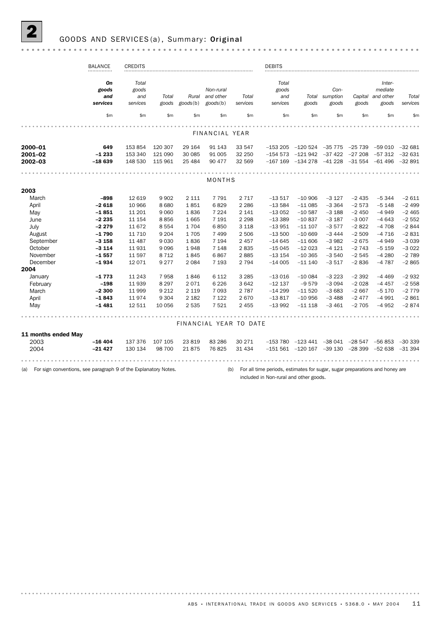# GOODS AND SERVICES (a), Summary: Original

|                               | <b>BALANCE</b>                        | <b>CREDITS</b>                             |                               |                                     |                                           |                            | <b>DEBITS</b>                              |                                                    |                                          |                                  |                                                  |                                 |
|-------------------------------|---------------------------------------|--------------------------------------------|-------------------------------|-------------------------------------|-------------------------------------------|----------------------------|--------------------------------------------|----------------------------------------------------|------------------------------------------|----------------------------------|--------------------------------------------------|---------------------------------|
|                               | On<br>goods<br>and<br>services<br>\$m | Total<br>goods<br>and<br>services<br>\$m\$ | Total<br>goods<br>\$m         | Rural<br>$\text{goods}(b)$<br>\$m\$ | Non-rural<br>and other<br>goods(b)<br>\$m | Total<br>services<br>\$m\$ | Total<br>goods<br>and<br>services<br>\$m\$ | goods<br>\$m\$                                     | Con-<br>Total sumption<br>goods<br>\$m\$ | Capital<br>goods<br>\$m\$        | Inter-<br>mediate<br>and other<br>goods<br>\$m\$ | Total<br>services<br>\$m        |
|                               |                                       |                                            |                               |                                     |                                           |                            |                                            |                                                    |                                          |                                  |                                                  |                                 |
|                               |                                       |                                            |                               |                                     | FINANCIAL YEAR                            |                            |                                            |                                                    |                                          |                                  |                                                  |                                 |
|                               |                                       |                                            |                               |                                     |                                           |                            |                                            |                                                    |                                          |                                  |                                                  |                                 |
| 2000-01<br>2001-02<br>2002-03 | 649<br>$-1233$<br>$-18639$            | 153 854<br>153 340<br>148 530              | 120 307<br>121 090<br>115 961 | 29 164<br>30 085<br>25 4 84         | 91 1 43<br>91 005<br>90 477               | 33 547<br>32 250<br>32 569 | $-167$ 169                                 | $-153205 -120524$<br>$-154573 -121942$<br>-134 278 | $-35775$<br>-37 422<br>-41 228           | $-25739$<br>$-27208$<br>$-31554$ | $-59010$<br>$-57312$<br>$-61,496$                | $-32681$<br>$-32631$<br>-32 891 |
|                               |                                       |                                            |                               |                                     |                                           |                            |                                            |                                                    |                                          |                                  |                                                  |                                 |
| <b>MONTHS</b>                 |                                       |                                            |                               |                                     |                                           |                            |                                            |                                                    |                                          |                                  |                                                  |                                 |
| 2003                          |                                       |                                            |                               |                                     |                                           |                            |                                            |                                                    |                                          |                                  |                                                  |                                 |
| March                         | $-898$                                | 12 619                                     | 9 9 0 2                       | 2 1 1 1                             | 7791                                      | 2 7 1 7                    | $-13517$                                   | $-10906$                                           | $-3127$                                  | $-2435$                          | $-5344$                                          | $-2611$                         |
| April                         | $-2618$                               | 10 966                                     | 8 6 8 0                       | 1851                                | 6829                                      | 2 2 8 6                    | $-13584$                                   | $-11085$                                           | $-3364$                                  | $-2573$                          | $-5148$                                          | $-2499$                         |
| May                           | $-1851$                               | 11 201                                     | 9 0 6 0                       | 1836                                | 7 2 2 4                                   | 2 141                      | $-13052$                                   | $-10.587$                                          | $-3188$                                  | $-2450$                          | $-4949$                                          | $-2465$                         |
| June                          | $-2235$                               | 11 154                                     | 8856                          | 1665                                | 7 1 9 1                                   | 2 2 9 8                    | $-13389$                                   | $-10837$                                           | $-3187$                                  | $-3007$                          | $-4643$                                          | $-2552$                         |
| July                          | $-2279$                               | 11 672                                     | 8 5 5 4                       | 1704                                | 6850                                      | 3 1 1 8                    | $-13951$                                   | $-11107$                                           | $-3577$                                  | $-2822$                          | $-4708$                                          | $-2844$                         |
| August                        | -1 790                                | 11 7 10                                    | 9 2 0 4                       | 1705                                | 7499                                      | 2 5 0 6                    | $-13500$                                   | $-10669$                                           | $-3444$                                  | $-2509$                          | $-4716$                                          | $-2831$                         |
| September                     | $-3158$                               | 11 487                                     | 9 0 3 0                       | 1836                                | 7 1 9 4                                   | 2 4 5 7                    | $-14645$                                   | $-11606$                                           | $-3982$                                  | $-2675$                          | $-4949$                                          | $-3039$                         |
| October                       | $-3114$                               | 11931                                      | 9 0 9 6                       | 1948                                | 7 1 4 8                                   | 2835                       | $-15045$                                   | $-12023$                                           | $-4121$                                  | $-2743$                          | $-5159$                                          | $-3022$                         |
| November                      | $-1.557$                              | 11 597                                     | 8 7 1 2                       | 1845                                | 6867                                      | 2885                       | $-13154$                                   | $-10.365$                                          | $-3540$                                  | $-2545$                          | $-4280$                                          | $-2789$                         |
| December<br>2004              | $-1.934$                              | 12 0 7 1                                   | 9 2 7 7                       | 2 0 8 4                             | 7 1 9 3                                   | 2 7 9 4                    | $-14005$                                   | $-11140$                                           | $-3517$                                  | $-2836$                          | $-4787$                                          | $-2865$                         |
| January                       | $-1773$                               | 11 243                                     | 7958                          | 1846                                | 6 1 1 2                                   | 3 2 8 5                    | $-13016$                                   | $-100084$                                          | $-3223$                                  | $-2392$                          | $-4469$                                          | $-2932$                         |
| February                      | $-198$                                | 11 939                                     | 8 2 9 7                       | 2071                                | 6 2 2 6                                   | 3642                       | $-12$ 137                                  | $-9579$                                            | $-3094$                                  | $-2028$                          | $-4457$                                          | $-2558$                         |
| March                         | $-2300$                               | 11 999                                     | 9 2 1 2                       | 2 1 1 9                             | 7 0 9 3                                   | 2 7 8 7                    | $-14299$                                   | $-11520$                                           | $-3683$                                  | $-2667$                          | $-5170$                                          | $-2779$                         |
| April                         | $-1843$                               | 11974                                      | 9 3 0 4                       | 2 1 8 2                             | 7 1 2 2                                   | 2670                       | $-13817$                                   | $-10956$                                           | $-3488$                                  | $-2477$                          | $-4991$                                          | $-2861$                         |
| May                           | $-1481$                               | 12 511                                     | 10 056                        | 2 5 3 5                             | 7521                                      | 2 4 5 5                    | $-13992$                                   | $-11118$                                           | $-3461$                                  | $-2705$                          | $-4952$                                          | $-2874$                         |
|                               |                                       |                                            |                               |                                     |                                           |                            |                                            |                                                    |                                          |                                  |                                                  |                                 |
|                               |                                       |                                            |                               |                                     | FINANCIAL YEAR TO DATE                    |                            |                                            |                                                    |                                          |                                  |                                                  |                                 |
| 11 months ended May           |                                       |                                            |                               |                                     |                                           |                            |                                            |                                                    |                                          |                                  |                                                  |                                 |
| 2003                          | $-16404$                              | 137 376                                    | 107 105                       | 23 819                              | 83 286                                    | 30 271                     |                                            | $-153\,780$ $-123\,441$                            |                                          | $-38041 -28547$                  | -56 853                                          | $-30339$                        |
| 2004                          | $-21427$                              | 130 134                                    | 98 700                        | 21875                               | 76825                                     | 31 434                     |                                            | $-151561 -120167$                                  | -39 130                                  | $-28399$                         | $-52638$                                         | $-31394$                        |
|                               |                                       |                                            |                               |                                     |                                           |                            |                                            |                                                    |                                          |                                  |                                                  |                                 |
|                               |                                       |                                            |                               |                                     |                                           |                            |                                            |                                                    |                                          |                                  |                                                  |                                 |

(a) For sign conventions, see paragraph 9 of the Explanatory Notes.

(b) For all time periods, estimates for sugar, sugar preparations and honey are included in Non-rural and other goods.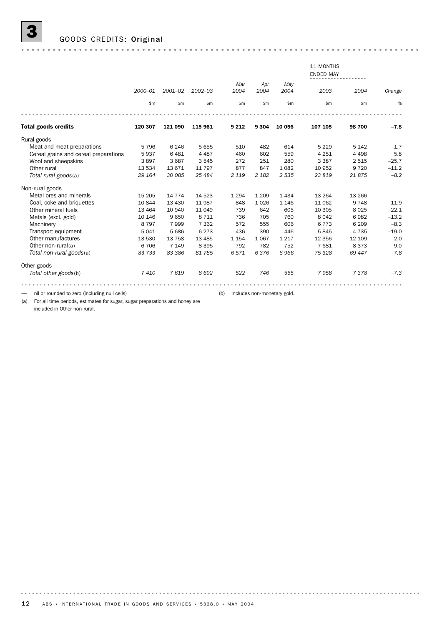|                                       |         |             |             |             |             |             | 11 MONTHS<br><b>ENDED MAY</b><br> |         |         |  |  |  |
|---------------------------------------|---------|-------------|-------------|-------------|-------------|-------------|-----------------------------------|---------|---------|--|--|--|
|                                       | 2000-01 | $2001 - 02$ | $2002 - 03$ | Mar<br>2004 | Apr<br>2004 | May<br>2004 | 2003                              | 2004    | Change  |  |  |  |
|                                       | \$m     | \$m         | \$m\$       | \$m         | \$m         | \$m\$       | \$m                               | \$m     | %       |  |  |  |
|                                       |         |             |             |             |             |             |                                   |         |         |  |  |  |
| <b>Total goods credits</b>            | 120 307 | 121 090     | 115 961     | 9 2 1 2     | 9 3 0 4     | 10 056      | 107 105                           | 98 700  | $-7.8$  |  |  |  |
| Rural goods                           |         |             |             |             |             |             |                                   |         |         |  |  |  |
| Meat and meat preparations            | 5796    | 6 2 4 6     | 5 6 5 5     | 510         | 482         | 614         | 5 2 2 9                           | 5 1 4 2 | $-1.7$  |  |  |  |
| Cereal grains and cereal preparations | 5937    | 6 4 8 1     | 4 4 8 7     | 460         | 602         | 559         | 4 2 5 1                           | 4 4 9 8 | 5.8     |  |  |  |
| Wool and sheepskins                   | 3897    | 3687        | 3 5 4 5     | 272         | 251         | 280         | 3 3 8 7                           | 2 5 1 5 | $-25.7$ |  |  |  |
| Other rural                           | 13 534  | 13671       | 11 797      | 877         | 847         | 1082        | 10 952                            | 9 7 2 0 | $-11.2$ |  |  |  |
| Total rural goods(a)                  | 29 164  | 30 085      | 25 4 84     | 2 1 1 9     | 2 1 8 2     | 2535        | 23819                             | 21875   | $-8.2$  |  |  |  |
| Non-rural goods                       |         |             |             |             |             |             |                                   |         |         |  |  |  |
| Metal ores and minerals               | 15 205  | 14 7 7 4    | 14 5 23     | 1 2 9 4     | 1 2 0 9     | 1434        | 13 2 64                           | 13 26 6 |         |  |  |  |
| Coal, coke and briquettes             | 10844   | 13 4 30     | 11 987      | 848         | 1026        | 1 1 4 6     | 11 062                            | 9748    | $-11.9$ |  |  |  |
| Other mineral fuels                   | 13 4 64 | 10 940      | 11 049      | 739         | 642         | 605         | 10 305                            | 8 0 2 5 | $-22.1$ |  |  |  |
| Metals (excl. gold)                   | 10 146  | 9650        | 8 7 1 1     | 736         | 705         | 760         | 8 0 4 2                           | 6982    | $-13.2$ |  |  |  |
| Machinery                             | 8 7 9 7 | 7999        | 7 3 6 2     | 572         | 555         | 606         | 6773                              | 6 2 0 9 | $-8.3$  |  |  |  |
| Transport equipment                   | 5041    | 5 6 8 6     | 6 2 7 3     | 436         | 390         | 446         | 5845                              | 4 7 3 5 | $-19.0$ |  |  |  |
| Other manufactures                    | 13 530  | 13 7 58     | 13 4 85     | 1 1 5 4     | 1067        | 1 2 1 7     | 12 3 5 6                          | 12 109  | $-2.0$  |  |  |  |
| Other non-rural(a)                    | 6 70 6  | 7 1 4 9     | 8 3 9 5     | 792         | 782         | 752         | 7681                              | 8 3 7 3 | 9.0     |  |  |  |
| Total non-rural goods(a)              | 83 733  | 83 386      | 81 785      | 6571        | 6376        | 6966        | 75 328                            | 69 447  | $-7.8$  |  |  |  |
| Other goods                           |         |             |             |             |             |             |                                   |         |         |  |  |  |
| Total other goods(b)                  | 7410    | 7619        | 8692        | 522         | 746         | 555         | 7958                              | 7378    | $-7.3$  |  |  |  |
|                                       |         |             |             |             |             |             |                                   |         |         |  |  |  |

— nil or rounded to zero (including null cells) (b) Includes non-monetary gold.

(a) For all time periods, estimates for sugar, sugar preparations and honey are included in Other non-rural.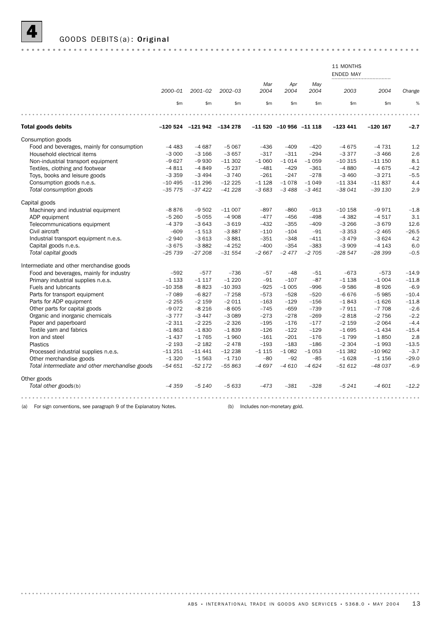

|                                                                        |          |                               |             |                             |                        |             | 11 MONTHS<br><b>ENDED MAY</b> |            |         |
|------------------------------------------------------------------------|----------|-------------------------------|-------------|-----------------------------|------------------------|-------------|-------------------------------|------------|---------|
|                                                                        | 2000-01  | $2001 - 02$                   | $2002 - 03$ | Mar<br>2004                 | Apr<br>2004            | May<br>2004 | 2003                          | 2004       | Change  |
|                                                                        | \$m\$    | \$m\$                         | \$m         | \$m\$                       | \$m\$                  | \$m         | \$m                           | \$m\$      | %       |
|                                                                        |          |                               |             |                             |                        |             |                               |            |         |
| <b>Total goods debits</b>                                              |          | $-120524$ $-121942$ $-134278$ |             |                             | $-11520 -10956 -11118$ |             | $-123441$                     | $-120$ 167 | $-2.7$  |
| Consumption goods                                                      |          |                               |             |                             |                        |             |                               |            |         |
| Food and beverages, mainly for consumption                             | $-4483$  | $-4687$                       | $-5067$     | $-436$                      | $-409$                 | $-420$      | $-4675$                       | $-4731$    | 1.2     |
| Household electrical items                                             | $-3000$  | $-3166$                       | $-3657$     | $-317$                      | $-311$                 | $-294$      | $-3377$                       | $-3466$    | 2.6     |
| Non-industrial transport equipment                                     | $-9627$  | $-9930$                       | $-11302$    | $-1060$                     | $-1014$                | $-1059$     | $-10315$                      | $-111150$  | 8.1     |
| Textiles, clothing and footwear                                        | $-4811$  | $-4849$                       | $-5237$     | $-481$                      | $-429$                 | $-361$      | $-4880$                       | $-4675$    | $-4.2$  |
| Toys, books and leisure goods                                          | $-3359$  | $-3494$                       | $-3740$     | $-261$                      | $-247$                 | $-278$      | $-3460$                       | $-3271$    | $-5.5$  |
| Consumption goods n.e.s.                                               | $-10495$ | $-11296$                      | $-12225$    | $-1128$                     | $-1078$                | $-1049$     | $-11334$                      | $-11837$   | 4.4     |
| Total consumption goods                                                | $-35775$ | $-37422$                      | $-41228$    | $-3683$                     | $-3488$                | $-3461$     | $-38041$                      | $-39130$   | 2.9     |
| Capital goods                                                          |          |                               |             |                             |                        |             |                               |            |         |
| Machinery and industrial equipment                                     | $-8876$  | $-9502$                       | $-11007$    | $-897$                      | $-860$                 | $-913$      | $-10$ 158                     | $-9971$    | $-1.8$  |
| ADP equipment                                                          | $-5260$  | $-5055$                       | $-4908$     | $-477$                      | $-456$                 | $-498$      | $-4382$                       | $-4517$    | 3.1     |
| Telecommunications equipment                                           | $-4379$  | $-3643$                       | $-3619$     | $-432$                      | $-355$                 | $-409$      | $-3266$                       | $-3679$    | 12.6    |
| Civil aircraft                                                         | $-609$   | $-1513$                       | $-3887$     | $-110$                      | $-104$                 | $-91$       | $-3353$                       | $-2465$    | $-26.5$ |
| Industrial transport equipment n.e.s.                                  | $-2940$  | $-3613$                       | $-3881$     | $-351$                      | $-348$                 | $-411$      | $-3479$                       | $-3624$    | 4.2     |
| Capital goods n.e.s.                                                   | $-3675$  | $-3882$                       | $-4252$     | $-400$                      | $-354$                 | $-383$      | $-3909$                       | $-4143$    | 6.0     |
| Total capital goods                                                    | $-25739$ | $-27208$                      | $-31554$    | $-2667$                     | $-2477$                | $-2705$     | $-28547$                      | $-28399$   | $-0.5$  |
| Intermediate and other merchandise goods                               |          |                               |             |                             |                        |             |                               |            |         |
| Food and beverages, mainly for industry                                | $-592$   | $-577$                        | $-736$      | $-57$                       | $-48$                  | $-51$       | $-673$                        | $-573$     | $-14.9$ |
| Primary industrial supplies n.e.s.                                     | $-1133$  | $-1117$                       | $-1220$     | $-91$                       | $-107$                 | $-87$       | $-1138$                       | $-1004$    | $-11.8$ |
| Fuels and lubricants                                                   | $-10358$ | $-8823$                       | $-10393$    | $-925$                      | $-1005$                | $-996$      | $-9586$                       | $-8926$    | $-6.9$  |
| Parts for transport equipment                                          | $-7089$  | $-6827$                       | $-7258$     | $-573$                      | $-528$                 | $-520$      | $-6676$                       | $-5985$    | $-10.4$ |
| Parts for ADP equipment                                                | $-2255$  | $-2159$                       | $-2011$     | $-163$                      | $-129$                 | $-156$      | $-1843$                       | $-1626$    | $-11.8$ |
| Other parts for capital goods                                          | $-9072$  | $-8216$                       | $-8605$     | $-745$                      | $-659$                 | $-739$      | $-7911$                       | $-7708$    | $-2.6$  |
| Organic and inorganic chemicals                                        | $-3777$  | $-3447$                       | $-3089$     | $-273$                      | $-278$                 | $-269$      | $-2818$                       | $-2756$    | $-2.2$  |
| Paper and paperboard                                                   | $-2311$  | $-2225$                       | $-2326$     | $-195$                      | $-176$                 | $-177$      | $-2159$                       | $-2064$    | $-4.4$  |
| Textile yarn and fabrics                                               | $-1863$  | $-1830$                       | $-1839$     | $-126$                      | $-122$                 | $-129$      | $-1695$                       | $-1434$    | $-15.4$ |
| Iron and steel                                                         | $-1437$  | $-1765$                       | $-1960$     | $-161$                      | $-201$                 | $-176$      | $-1799$                       | $-1850$    | 2.8     |
| <b>Plastics</b>                                                        | $-2193$  | $-2182$                       | $-2478$     | $-193$                      | $-183$                 | $-186$      | $-2304$                       | $-1993$    | $-13.5$ |
| Processed industrial supplies n.e.s.                                   | $-11251$ | $-11441$                      | $-12238$    | $-1115$                     | $-1082$                | $-1053$     | $-11382$                      | $-10962$   | $-3.7$  |
| Other merchandise goods                                                | $-1320$  | $-1563$                       | $-1710$     | $-80$                       | $-92$                  | $-85$       | $-1628$                       | $-1156$    | $-29.0$ |
| Total intermediate and other merchandise goods                         | $-54651$ | $-52172$                      | $-55863$    | $-4697$                     | $-4610$                | $-4624$     | $-51612$                      | $-48037$   | $-6.9$  |
| Other goods                                                            |          |                               |             |                             |                        |             |                               |            |         |
| Total other goods(b)                                                   | $-4359$  | $-5140$                       | $-5633$     | $-473$                      | $-381$                 | $-328$      | $-5241$                       | $-4601$    | $-12.2$ |
|                                                                        |          |                               |             |                             |                        |             |                               |            |         |
| For sign conventions, see paragraph 9 of the Explanatory Notes.<br>(a) |          |                               | (b)         | Includes non-monetary gold. |                        |             |                               |            |         |

ABS • INTERNATIONAL TRADE IN GOODS AND SERVICES • 5368.0 • MAY 2004 13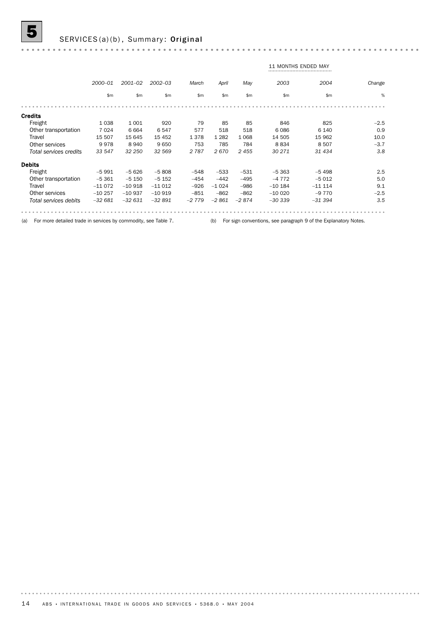# SERVICES(a)(b), Summary: Original

|                        |          |             |               |         | <b>11 MONTHS ENDED MAY</b> |         |           |          |        |  |  |  |  |
|------------------------|----------|-------------|---------------|---------|----------------------------|---------|-----------|----------|--------|--|--|--|--|
|                        | 2000-01  | $2001 - 02$ | $2002 - 03$   | March   | April                      | May     | 2003      | 2004     | Change |  |  |  |  |
|                        | \$m      | \$m\$       | $\mathsf{Sm}$ | \$m     | \$m                        | \$m\$   | \$m\$     | \$m      | %      |  |  |  |  |
|                        |          |             |               |         |                            |         |           |          |        |  |  |  |  |
| <b>Credits</b>         |          |             |               |         |                            |         |           |          |        |  |  |  |  |
| Freight                | 1 0 3 8  | 1001        | 920           | 79      | 85                         | 85      | 846       | 825      | $-2.5$ |  |  |  |  |
| Other transportation   | 7 0 2 4  | 6664        | 6547          | 577     | 518                        | 518     | 6086      | 6 1 4 0  | 0.9    |  |  |  |  |
| Travel                 | 15 507   | 15 645      | 15 452        | 1378    | 1 2 8 2                    | 1068    | 14 505    | 15 962   | 10.0   |  |  |  |  |
| Other services         | 9978     | 8940        | 9650          | 753     | 785                        | 784     | 8834      | 8507     | $-3.7$ |  |  |  |  |
| Total services credits | 33 547   | 32 250      | 32 569        | 2 7 8 7 | 2670                       | 2455    | 30 271    | 31 434   | 3.8    |  |  |  |  |
| <b>Debits</b>          |          |             |               |         |                            |         |           |          |        |  |  |  |  |
| Freight                | $-5991$  | $-5626$     | $-5808$       | $-548$  | $-533$                     | $-531$  | $-5363$   | $-5498$  | 2.5    |  |  |  |  |
| Other transportation   | $-5.361$ | $-5150$     | $-5152$       | $-454$  | $-442$                     | $-495$  | $-4772$   | $-5012$  | 5.0    |  |  |  |  |
| Travel                 | $-11072$ | $-10918$    | $-11012$      | $-926$  | $-1024$                    | $-986$  | $-10$ 184 | $-11114$ | 9.1    |  |  |  |  |
| Other services         | $-10257$ | $-10937$    | $-10919$      | $-851$  | $-862$                     | $-862$  | $-100020$ | $-9770$  | $-2.5$ |  |  |  |  |
| Total services debits  | $-32681$ | $-32631$    | $-32891$      | $-2779$ | $-2861$                    | $-2874$ | $-30339$  | $-31394$ | 3.5    |  |  |  |  |
|                        |          |             |               |         |                            |         |           |          |        |  |  |  |  |

### (a) For more detailed trade in services by commodity, see Table 7. (b) For sign conventions, see paragraph 9 of the Explanatory Notes.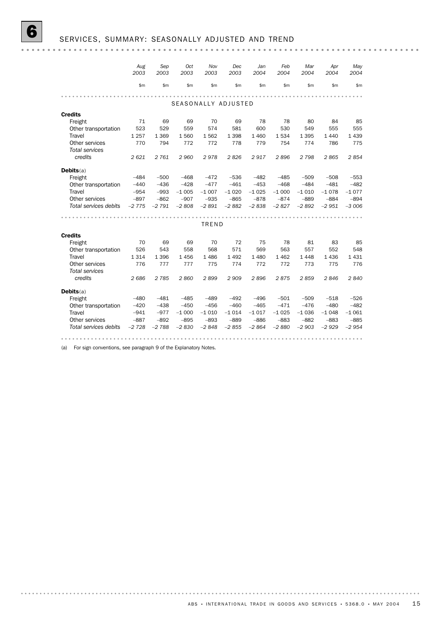|                       | Aug     | Sep     | Oct     | Nov     | Dec     | Jan     | Feb     | Mar     | Apr     | May     |  |  |  |
|-----------------------|---------|---------|---------|---------|---------|---------|---------|---------|---------|---------|--|--|--|
|                       | 2003    | 2003    | 2003    | 2003    | 2003    | 2004    | 2004    | 2004    | 2004    | 2004    |  |  |  |
|                       | \$m     | \$m     | \$m     | \$m     | \$m     | \$m     | \$m     | \$m\$   | \$m     | \$m\$   |  |  |  |
|                       |         |         |         |         |         |         |         |         |         |         |  |  |  |
| SEASONALLY ADJUSTED   |         |         |         |         |         |         |         |         |         |         |  |  |  |
| <b>Credits</b>        |         |         |         |         |         |         |         |         |         |         |  |  |  |
| Freight               | 71      | 69      | 69      | 70      | 69      | 78      | 78      | 80      | 84      | 85      |  |  |  |
| Other transportation  | 523     | 529     | 559     | 574     | 581     | 600     | 530     | 549     | 555     | 555     |  |  |  |
| Travel                | 1 2 5 7 | 1 3 6 9 | 1560    | 1562    | 1 3 9 8 | 1 4 6 0 | 1534    | 1 3 9 5 | 1 4 4 0 | 1439    |  |  |  |
| Other services        | 770     | 794     | 772     | 772     | 778     | 779     | 754     | 774     | 786     | 775     |  |  |  |
| <b>Total services</b> |         |         |         |         |         |         |         |         |         |         |  |  |  |
| credits               | 2621    | 2 7 6 1 | 2960    | 2978    | 2826    | 2917    | 2896    | 2 7 9 8 | 2865    | 2854    |  |  |  |
|                       |         |         |         |         |         |         |         |         |         |         |  |  |  |
| Debits(a)             |         |         |         |         |         |         |         |         |         |         |  |  |  |
| Freight               | $-484$  | $-500$  | $-468$  | $-472$  | $-536$  | $-482$  | $-485$  | $-509$  | $-508$  | $-553$  |  |  |  |
| Other transportation  | $-440$  | $-436$  | $-428$  | $-477$  | $-461$  | $-453$  | $-468$  | $-484$  | $-481$  | $-482$  |  |  |  |
| <b>Travel</b>         | $-954$  | $-993$  | $-1005$ | $-1007$ | $-1020$ | $-1025$ | $-1000$ | $-1010$ | $-1078$ | $-1077$ |  |  |  |
| Other services        | $-897$  | $-862$  | $-907$  | $-935$  | $-865$  | $-878$  | $-874$  | $-889$  | $-884$  | $-894$  |  |  |  |
| Total services debits | $-2775$ | $-2791$ | $-2808$ | $-2891$ | $-2882$ | $-2838$ | $-2827$ | $-2892$ | $-2951$ | $-3006$ |  |  |  |
|                       |         |         |         |         |         |         |         |         |         |         |  |  |  |
|                       |         |         |         | TREND   |         |         |         |         |         |         |  |  |  |
| <b>Credits</b>        |         |         |         |         |         |         |         |         |         |         |  |  |  |
| Freight               | 70      | 69      | 69      | 70      | 72      | 75      | 78      | 81      | 83      | 85      |  |  |  |
| Other transportation  | 526     | 543     | 558     | 568     | 571     | 569     | 563     | 557     | 552     | 548     |  |  |  |
| Travel                | 1314    | 1 3 9 6 | 1456    | 1486    | 1492    | 1 4 8 0 | 1462    | 1448    | 1436    | 1431    |  |  |  |
| Other services        | 776     | 777     | 777     | 775     | 774     | 772     | 772     | 773     | 775     | 776     |  |  |  |
| Total services        |         |         |         |         |         |         |         |         |         |         |  |  |  |
| credits               | 2686    | 2785    | 2860    | 2899    | 2 9 0 9 | 2896    | 2875    | 2859    | 2846    | 2840    |  |  |  |
| Debits(a)             |         |         |         |         |         |         |         |         |         |         |  |  |  |
| Freight               | $-480$  | $-481$  | $-485$  | $-489$  | $-492$  | $-496$  | $-501$  | $-509$  | $-518$  | $-526$  |  |  |  |
| Other transportation  | $-420$  | $-438$  | $-450$  | $-456$  | $-460$  | $-465$  | $-471$  | $-476$  | $-480$  | $-482$  |  |  |  |
| Travel                | $-941$  | $-977$  | $-1000$ | $-1010$ | $-1014$ | $-1017$ | $-1025$ | $-1036$ | $-1048$ | $-1061$ |  |  |  |
| Other services        | $-887$  | $-892$  | $-895$  | $-893$  | $-889$  | $-886$  | $-883$  | $-882$  | $-883$  | $-885$  |  |  |  |
| Total services debits | $-2728$ | $-2788$ | $-2830$ | $-2848$ | $-2855$ | $-2864$ | $-2880$ | $-2903$ | $-2929$ | $-2954$ |  |  |  |
|                       |         |         |         |         |         |         |         |         |         |         |  |  |  |

(a) For sign conventions, see paragraph 9 of the Explanatory Notes.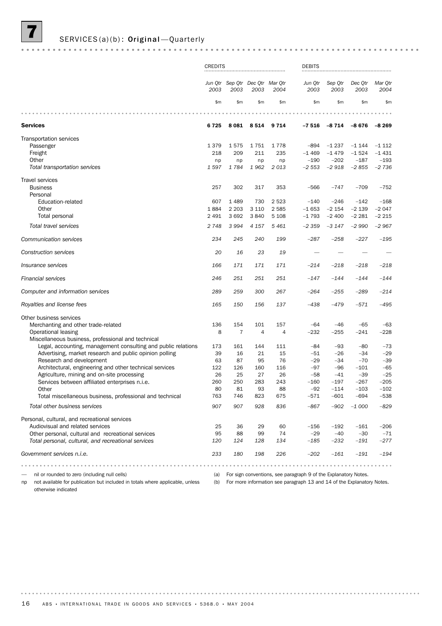# SERVICES(a)(b): Original-Quarterly

|                                                                                                                                                             | <b>CREDITS</b> |                                         |                 |           | <b>DEBITS</b>                                                                                                                             |                   |                   |                   |
|-------------------------------------------------------------------------------------------------------------------------------------------------------------|----------------|-----------------------------------------|-----------------|-----------|-------------------------------------------------------------------------------------------------------------------------------------------|-------------------|-------------------|-------------------|
|                                                                                                                                                             | 2003           | Jun Qtr Sep Qtr Dec Qtr Mar Qtr<br>2003 | 2003            | 2004      | Jun Qtr<br>2003                                                                                                                           | Sep Qtr<br>2003   | Dec Qtr<br>2003   | Mar Qtr<br>2004   |
|                                                                                                                                                             | \$m\$          | \$m                                     | \$m\$           | \$m       | \$m\$                                                                                                                                     | \$m\$             | \$m               | \$m\$             |
|                                                                                                                                                             |                |                                         |                 |           |                                                                                                                                           |                   |                   |                   |
| <b>Services</b>                                                                                                                                             | 6725           |                                         | 8 0 8 1 8 5 1 4 | 9714      | $-7516$                                                                                                                                   | $-8714$           | -8 676            | $-8269$           |
| <b>Transportation services</b><br>Passenger                                                                                                                 | 1 3 7 9        | 1575                                    | 1751            | 1778      | $-894$                                                                                                                                    | $-1237$           | $-1144$           | $-1112$           |
| Freight<br>Other                                                                                                                                            | 218<br>np      | 209<br>np                               | 211<br>np       | 235<br>np | $-1469$<br>$-190$                                                                                                                         | $-1479$<br>$-202$ | $-1524$<br>$-187$ | $-1431$<br>$-193$ |
| Total transportation services                                                                                                                               | 1597           | 1784                                    | 1962            | 2013      | $-2553$                                                                                                                                   | $-2918$           | $-2855$           | $-2736$           |
| <b>Travel services</b><br><b>Business</b><br>Personal                                                                                                       | 257            | 302                                     | 317             | 353       | $-566$                                                                                                                                    | $-747$            | $-709$            | $-752$            |
| Education-related                                                                                                                                           | 607            | 1 4 8 9                                 | 730             | 2 5 2 3   | $-140$                                                                                                                                    | $-246$            | $-142$            | $-168$            |
| Other                                                                                                                                                       | 1884           | 2 2 0 3                                 | 3 1 1 0         | 2585      | $-1653$                                                                                                                                   | $-2154$           | $-2139$           | $-2047$           |
| Total personal                                                                                                                                              | 2 4 9 1        | 3692                                    | 3840            | 5 1 0 8   | $-1793$                                                                                                                                   | $-2400$           | $-2281$           | $-2215$           |
| Total travel services                                                                                                                                       | 2 7 4 8        | 3 9 9 4                                 | 4 1 5 7         | 5461      | $-2359$                                                                                                                                   | $-3147$           | $-2990$           | $-2967$           |
| <b>Communication services</b>                                                                                                                               | 234            | 245                                     | 240             | 199       | $-287$                                                                                                                                    | $-258$            | $-227$            | $-195$            |
| Construction services                                                                                                                                       | 20             | 16                                      | 23              | 19        |                                                                                                                                           |                   |                   |                   |
| <i><b>Insurance services</b></i>                                                                                                                            | 166            | 171                                     | 171             | 171       | $-214$                                                                                                                                    | $-218$            | $-218$            | $-218$            |
| <b>Financial services</b>                                                                                                                                   | 246            | 251                                     | 251             | 251       | $-147$                                                                                                                                    | $-144$            | $-144$            | $-144$            |
| Computer and information services                                                                                                                           | 289            | 259                                     | 300             | 267       | $-264$                                                                                                                                    | $-255$            | $-289$            | $-214$            |
| Royalties and license fees                                                                                                                                  | 165            | 150                                     | 156             | 137       | $-438$                                                                                                                                    | -479              | $-571$            | $-495$            |
| Other business services<br>Merchanting and other trade-related<br>Operational leasing                                                                       | 136<br>8       | 154<br>$\overline{7}$                   | 101<br>4        | 157<br>4  | $-64$<br>$-232$                                                                                                                           | -46<br>$-255$     | $-65$<br>$-241$   | $-63$<br>$-228$   |
| Miscellaneous business, professional and technical                                                                                                          |                |                                         |                 |           |                                                                                                                                           |                   |                   |                   |
| Legal, accounting, management consulting and public relations                                                                                               | 173            | 161                                     | 144             | 111       | $-84$                                                                                                                                     | $-93$             | $-80$             | $-73$             |
| Advertising, market research and public opinion polling<br>Research and development                                                                         | 39<br>63       | 16<br>87                                | 21<br>95        | 15<br>76  | $-51$<br>$-29$                                                                                                                            | $-26$<br>$-34$    | -34<br>$-70$      | $-29$<br>$-39$    |
| Architectural, engineering and other technical services                                                                                                     | 122            | 126                                     | 160             | 116       | $-97$                                                                                                                                     | $-96$             | $-101$            | $-65$             |
| Agriculture, mining and on-site processing                                                                                                                  | 26             | 25                                      | 27              | 26        | $-58$                                                                                                                                     | $-41$             | $-39$             | $-25$             |
| Services between affiliated enterprises n.i.e.                                                                                                              | 260            | 250                                     | 283             | 243       | $-160$                                                                                                                                    | $-197$            | $-267$            | $-205$            |
| Other<br>Total miscellaneous business, professional and technical                                                                                           | 80<br>763      | 81<br>746                               | 93<br>823       | 88<br>675 | $-92$<br>$-571$                                                                                                                           | $-114$<br>-601    | $-103$<br>$-694$  | $-102$<br>$-538$  |
| Total other business services                                                                                                                               | 907            | 907                                     | 928             | 836       | $-867$                                                                                                                                    | $-902$            | -1 000            | $-829$            |
| Personal, cultural, and recreational services                                                                                                               |                |                                         |                 |           |                                                                                                                                           |                   |                   |                   |
| Audiovisual and related services                                                                                                                            | 25             | 36                                      | 29              | 60        | $-156$                                                                                                                                    | $-192$            | $-161$            | $-206$            |
| Other personal, cultural and recreational services                                                                                                          | 95             | 88                                      | 99              | 74        | $-29$                                                                                                                                     | $-40$             | $-30$             | $-71$             |
| Total personal, cultural, and recreational services                                                                                                         | 120            | 124                                     | 128             | 134       | $-185$                                                                                                                                    | -232              | $-191$            | $-277$            |
| Government services n.i.e.                                                                                                                                  | 233            | 180                                     | 198             | 226       | $-202$                                                                                                                                    | $-161$            | $-191$            | $-194$            |
|                                                                                                                                                             |                |                                         |                 |           |                                                                                                                                           |                   |                   |                   |
| nil or rounded to zero (including null cells)<br>not available for publication but included in totals where applicable, unless<br>np<br>otherwise indicated | (a)<br>(b)     |                                         |                 |           | For sign conventions, see paragraph 9 of the Explanatory Notes.<br>For more information see paragraph 13 and 14 of the Explanatory Notes. |                   |                   |                   |

16 ABS • INTERNATIONAL TRADE IN GOODS AND SERVICES • 5368.0 • MAY 2004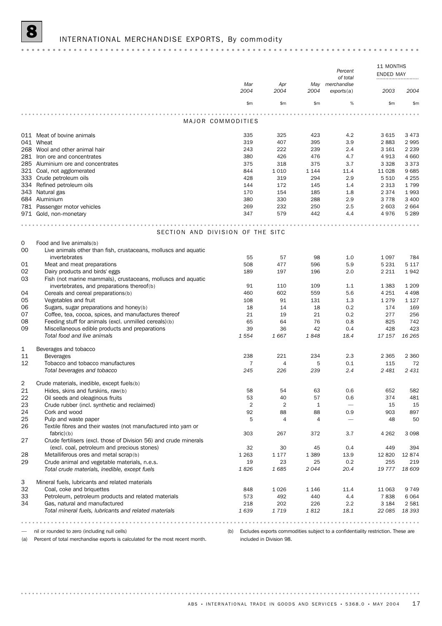|          |                                                                                               |                | Percent        |                |                           | 11 MONTHS<br>ENDED MAY |                    |  |
|----------|-----------------------------------------------------------------------------------------------|----------------|----------------|----------------|---------------------------|------------------------|--------------------|--|
|          |                                                                                               |                |                |                | of total                  |                        |                    |  |
|          |                                                                                               | Mar<br>2004    | Apr<br>2004    | May<br>2004    | merchandise<br>exports(a) | 2003                   | 2004               |  |
|          |                                                                                               | \$m            | \$m\$          | \$m            | %                         | \$m                    | \$m                |  |
|          | MAJOR COMMODITIES                                                                             |                |                | .              |                           |                        |                    |  |
|          |                                                                                               |                |                |                |                           |                        |                    |  |
|          | 011 Meat of bovine animals                                                                    | 335            | 325            | 423            | 4.2                       | 3615                   | 3473               |  |
|          | 041 Wheat                                                                                     | 319            | 407            | 395            | 3.9                       | 2883                   | 2995               |  |
|          | 268 Wool and other animal hair                                                                | 243            | 222            | 239            | 2.4                       | 3 1 6 1                | 2 2 3 9            |  |
|          | 281 Iron ore and concentrates                                                                 | 380            | 426            | 476            | 4.7                       | 4913                   | 4 6 6 0            |  |
|          | 285 Aluminium ore and concentrates                                                            | 375<br>844     | 318<br>1 0 1 0 | 375<br>1 1 4 4 | 3.7<br>11.4               | 3 3 2 8<br>11 0 28     | 3373<br>9685       |  |
|          | 321 Coal, not agglomerated<br>333 Crude petroleum oils                                        | 428            | 319            | 294            | 2.9                       | 5 5 1 0                | 4 2 5 5            |  |
|          | 334 Refined petroleum oils                                                                    | 144            | 172            | 145            | 1.4                       | 2 3 1 3                | 1799               |  |
|          | 343 Natural gas                                                                               | 170            | 154            | 185            | 1.8                       | 2 3 7 4                | 1993               |  |
|          | 684 Aluminium                                                                                 | 380            | 330            | 288            | 2.9                       | 3778                   | 3 400              |  |
|          | 781 Passenger motor vehicles                                                                  | 269            | 232            | 250            | 2.5                       | 2 603                  | 2 6 6 4            |  |
|          | 971 Gold, non-monetary                                                                        | 347            | 579            | 442            | 4.4                       | 4976                   | 5 2 8 9            |  |
|          |                                                                                               |                |                |                |                           |                        |                    |  |
|          | SECTION AND DIVISION OF THE SITC                                                              |                |                |                |                           |                        |                    |  |
| 0        | Food and live animals(b)                                                                      |                |                |                |                           |                        |                    |  |
| 00       | Live animals other than fish, crustaceans, molluscs and aquatic                               |                |                |                |                           |                        |                    |  |
|          | invertebrates                                                                                 | 55             | 57             | 98             | 1.0                       | 1 0 9 7                | 784                |  |
| 01       | Meat and meat preparations                                                                    | 508            | 477            | 596            | 5.9                       | 5 2 3 1                | 5 1 1 7            |  |
| 02       | Dairy products and birds' eggs                                                                | 189            | 197            | 196            | 2.0                       | 2 2 1 1                | 1942               |  |
| 03       | Fish (not marine mammals), crustaceans, molluscs and aquatic                                  |                |                |                |                           |                        |                    |  |
|          | invertebrates, and preparations thereof(b)                                                    | 91             | 110            | 109            | 1.1                       | 1 3 8 3                | 1 2 0 9            |  |
| 04<br>05 | Cereals and cereal preparations(b)<br>Vegetables and fruit                                    | 460<br>108     | 602<br>91      | 559<br>131     | 5.6<br>1.3                | 4 2 5 1<br>1 2 7 9     | 4 4 9 8<br>1 1 2 7 |  |
| 06       | Sugars, sugar preparations and honey(b)                                                       | 18             | 14             | 18             | 0.2                       | 174                    | 169                |  |
| 07       | Coffee, tea, cocoa, spices, and manufactures thereof                                          | 21             | 19             | 21             | 0.2                       | 277                    | 256                |  |
| 08       | Feeding stuff for animals (excl. unmilled cereals)(b)                                         | 65             | 64             | 76             | 0.8                       | 825                    | 742                |  |
| 09       | Miscellaneous edible products and preparations                                                | 39             | 36             | 42             | 0.4                       | 428                    | 423                |  |
|          | Total food and live animals                                                                   | 1 5 5 4        | 1667           | 1848           | 18.4                      | 17 157                 | 16 265             |  |
| 1        | Beverages and tobacco                                                                         |                |                |                |                           |                        |                    |  |
| 11       | <b>Beverages</b>                                                                              | 238            | 221            | 234            | 2.3                       | 2 3 6 5                | 2 3 6 0            |  |
| 12       | Tobacco and tobacco manufactures                                                              | 7              | 4              | 5              | 0.1                       | 115                    | 72                 |  |
|          | Total beverages and tobacco                                                                   | 245            | 226            | 239            | 2.4                       | 2 4 8 1                | 2 431              |  |
| 2        | Crude materials, inedible, except fuels(b)                                                    |                |                |                |                           |                        |                    |  |
| 21       | Hides, skins and furskins, raw(b)                                                             | 58             | 54             | 63             | 0.6                       | 652                    | 582                |  |
| 22       | Oil seeds and oleaginous fruits                                                               | 53             | 40             | 57             | 0.6                       | 374                    | 481                |  |
| 23       | Crude rubber (incl. synthetic and reclaimed)                                                  | $\overline{2}$ | $\overline{2}$ | $\mathbf{1}$   | $\overline{\phantom{0}}$  | 15                     | 15                 |  |
| 24       | Cork and wood                                                                                 | 92             | 88             | 88             | 0.9                       | 903                    | 897                |  |
| 25       | Pulp and waste paper                                                                          | 5              | 4              | 4              |                           | 48                     | 50                 |  |
| 26       | Textile fibres and their wastes (not manufactured into yarn or                                |                |                |                |                           |                        |                    |  |
|          | $fabric$ $(b)$                                                                                | 303            | 267            | 372            | 3.7                       | 4 2 6 2                | 3 0 9 8            |  |
| 27       | Crude fertilisers (excl. those of Division 56) and crude minerals                             |                |                |                |                           |                        |                    |  |
|          | (excl. coal, petroleum and precious stones)                                                   | 32             | 30             | 45             | 0.4                       | 449                    | 394                |  |
| 28       | Metalliferous ores and metal scrap(b)                                                         | 1 2 6 3        | 1 1 7 7        | 1 3 8 9        | 13.9                      | 12 8 20                | 12874              |  |
| 29       | Crude animal and vegetable materials, n.e.s.<br>Total crude materials, inedible, except fuels | 19<br>1826     | 23<br>1685     | 25<br>2044     | 0.2<br>20.4               | 255<br>19 777          | 219<br>18 609      |  |
|          |                                                                                               |                |                |                |                           |                        |                    |  |
| 3<br>32  | Mineral fuels, lubricants and related materials<br>Coal, coke and briquettes                  | 848            | 1026           | 1 1 4 6        | 11.4                      | 11 063                 | 9749               |  |
| 33       | Petroleum, petroleum products and related materials                                           | 573            | 492            | 440            | 4.4                       | 7838                   | 6064               |  |
| 34       | Gas, natural and manufactured                                                                 | 218            | 202            | 226            | 2.2                       | 3 1 8 4                | 2581               |  |
|          | Total mineral fuels, lubricants and related materials                                         | 1639           | 1719           | 1812           | 18.1                      | 22 085                 | 18 393             |  |
|          |                                                                                               |                |                |                |                           |                        |                    |  |

— nil or rounded to zero (including null cells)

. . . . . . . . . .

(a) Percent of total merchandise exports is calculated for the most recent month.

(b) Excludes exports commodities subject to a confidentiality restriction. These are included in Division 98.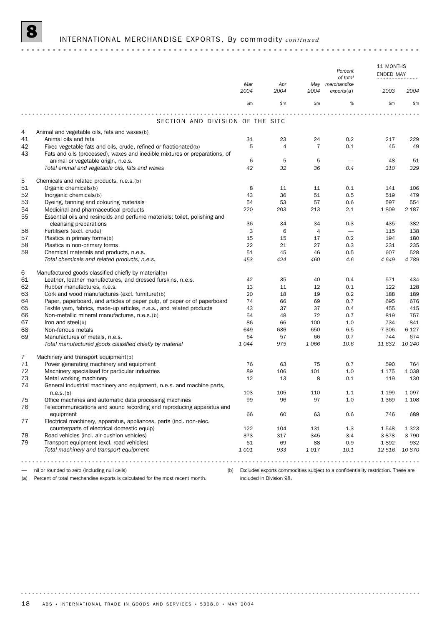# INTERNATIONAL MERCHANDISE EXPORTS, By commodity *continued*

|          |                                                                                                                    | Mar     | Apr       | May            | Percent<br>of total<br>merchandise                                                   | 11 MONTHS<br><b>ENDED MAY</b><br> |               |
|----------|--------------------------------------------------------------------------------------------------------------------|---------|-----------|----------------|--------------------------------------------------------------------------------------|-----------------------------------|---------------|
|          |                                                                                                                    | 2004    | 2004      | 2004           | exports(a)                                                                           | 2003                              | 2004          |
|          |                                                                                                                    | \$m     | \$m\$     | \$m            | %                                                                                    | \$m                               | $\mathsf{Sm}$ |
|          |                                                                                                                    |         |           |                |                                                                                      |                                   |               |
|          | SECTION AND DIVISION OF THE SITC                                                                                   |         |           |                |                                                                                      |                                   |               |
| 4        | Animal and vegetable oils, fats and waxes(b)                                                                       |         |           |                |                                                                                      |                                   |               |
| 41       | Animal oils and fats                                                                                               | 31      | 23        | 24             | 0.2                                                                                  | 217                               | 229           |
| 42       | Fixed vegetable fats and oils, crude, refined or fractionated(b)                                                   | 5       | 4         | $\overline{7}$ | 0.1                                                                                  | 45                                | 49            |
| 43       | Fats and oils (processed), waxes and inedible mixtures or preparations, of<br>animal or vegetable origin, n.e.s.   | 6       | 5         | 5              |                                                                                      | 48                                | 51            |
|          | Total animal and vegetable oils, fats and waxes                                                                    | 42      | 32        | 36             | 0.4                                                                                  | 310                               | 329           |
|          |                                                                                                                    |         |           |                |                                                                                      |                                   |               |
| 5        | Chemicals and related products, n.e.s.(b)                                                                          |         |           |                |                                                                                      |                                   |               |
| 51       | Organic chemicals(b)                                                                                               | 8       | 11        | 11             | 0.1                                                                                  | 141                               | 106           |
| 52       | Inorganic chemicals(b)                                                                                             | 43      | 36        | 51             | 0.5                                                                                  | 519                               | 479           |
| 53<br>54 | Dyeing, tanning and colouring materials                                                                            | 54      | 53        | 57             | 0.6                                                                                  | 597<br>1809                       | 554           |
| 55       | Medicinal and pharmaceutical products<br>Essential oils and resinoids and perfume materials; toilet, polishing and | 220     | 203       | 213            | 2.1                                                                                  |                                   | 2 1 8 7       |
|          | cleansing preparations                                                                                             | 36      | 34        | 34             | 0.3                                                                                  | 435                               | 382           |
| 56       | Fertilisers (excl. crude)                                                                                          | 3       | 6         | $\overline{4}$ | $\overline{\phantom{m}}$                                                             | 115                               | 138           |
| 57       | Plastics in primary forms(b)                                                                                       | 15      | 15        | 17             | 0.2                                                                                  | 194                               | 180           |
| 58       | Plastics in non-primary forms                                                                                      | 22      | 21        | 27             | 0.3                                                                                  | 231                               | 235           |
| 59       | Chemical materials and products, n.e.s.                                                                            | 51      | 45        | 46             | 0.5                                                                                  | 607                               | 528           |
|          | Total chemicals and related products, n.e.s.                                                                       | 453     | 424       | 460            | 4.6                                                                                  | 4 6 4 9                           | 4789          |
| 6        | Manufactured goods classified chiefly by material(b)                                                               |         |           |                |                                                                                      |                                   |               |
| 61       | Leather, leather manufactures, and dressed furskins, n.e.s.                                                        | 42      | 35        | 40             | 0.4                                                                                  | 571                               | 434           |
| 62       | Rubber manufactures, n.e.s.                                                                                        | 13      | 11        | 12             | 0.1                                                                                  | 122                               | 128           |
| 63       | Cork and wood manufactures (excl. furniture)(b)                                                                    | 20      | 18        | 19             | 0.2                                                                                  | 188                               | 189           |
| 64       | Paper, paperboard, and articles of paper pulp, of paper or of paperboard                                           | 74      | 66        | 69             | 0.7                                                                                  | 695                               | 676           |
| 65       | Textile yarn, fabrics, made-up articles, n.e.s., and related products                                              | 43      | 37        | 37             | 0.4                                                                                  | 455                               | 415           |
| 66       | Non-metallic mineral manufactures, n.e.s.(b)                                                                       | 54      | 48        | 72             | 0.7                                                                                  | 819                               | 757           |
| 67       | Iron and steel(b)                                                                                                  | 86      | 66        | 100            | 1.0                                                                                  | 734                               | 841           |
| 68       | Non-ferrous metals                                                                                                 | 649     | 636       | 650            | 6.5                                                                                  | 7 3 0 6                           | 6 1 2 7       |
| 69       | Manufactures of metals, n.e.s.                                                                                     | 64      | 57        | 66             | 0.7                                                                                  | 744                               | 674           |
|          | Total manufactured goods classified chiefly by material                                                            | 1044    | 975       | 1066           | 10.6                                                                                 | 11 632                            | 10 240        |
| 7        | Machinery and transport equipment(b)                                                                               |         |           |                |                                                                                      |                                   |               |
| 71       | Power generating machinery and equipment                                                                           | 76      | 63        | 75             | 0.7                                                                                  | 590                               | 764           |
| 72       | Machinery specialised for particular industries                                                                    | 89      | 106       | 101            | 1.0                                                                                  | 1 1 7 5                           | 1 0 3 8       |
| 73       | Metal working machinery                                                                                            | 12      | 13        | 8              | 0.1                                                                                  | 119                               | 130           |
| 74       | General industrial machinery and equipment, n.e.s. and machine parts,                                              |         |           |                |                                                                                      |                                   |               |
|          | n.e.s.(b)<br>Office machines and automatic data processing machines                                                | 103     | 105<br>96 | 110            | 1.1                                                                                  | 1 1 9 9                           | 1 0 9 7       |
| 75<br>76 | Telecommunications and sound recording and reproducing apparatus and                                               | 99      |           | 97             | 1.0                                                                                  | 1 3 6 9                           | 1 1 0 8       |
|          | equipment                                                                                                          | 66      | 60        | 63             | 0.6                                                                                  | 746                               | 689           |
| 77       | Electrical machinery, apparatus, appliances, parts (incl. non-elec.                                                |         |           |                |                                                                                      |                                   |               |
|          | counterparts of electrical domestic equip)                                                                         | 122     | 104       | 131            | 1.3                                                                                  | 1548                              | 1 3 2 3       |
| 78       | Road vehicles (incl. air-cushion vehicles)                                                                         | 373     | 317       | 345            | 3.4                                                                                  | 3878                              | 3790          |
| 79       | Transport equipment (excl. road vehicles)                                                                          | 61      | 69        | 88             | 0.9                                                                                  | 1892                              | 932           |
|          | Total machinery and transport equipment                                                                            | 1 0 0 1 | 933       | 1017           | 10.1                                                                                 | 12 516                            | 10870         |
|          | .                                                                                                                  |         |           |                |                                                                                      |                                   |               |
|          | nil or rounded to zero (including null cells)                                                                      |         |           |                | (b) Excludes exports commodities subject to a confidentiality restriction. These are |                                   |               |

(a) Percent of total merchandise exports is calculated for the most recent month.

(b) Excludes exports commodities subject to a confidentiality restriction. These are included in Division 98.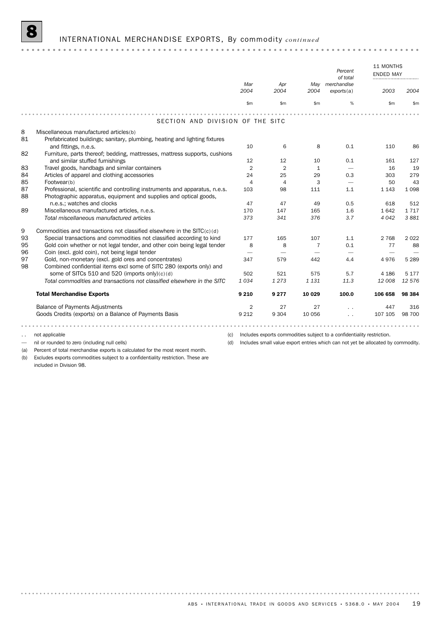## 8 INTERNATIONAL MERCHANDISE EXPORTS, By commodity *continued*

11 MONTHS ENDED MAY *Percent*

|    |                                                                            |                |                |              | 100000<br>of total              | <b>ENDED MAY</b> |         |
|----|----------------------------------------------------------------------------|----------------|----------------|--------------|---------------------------------|------------------|---------|
|    |                                                                            | Mar            | Apr            | May          | merchandise                     |                  |         |
|    |                                                                            | 2004           | 2004           | 2004         | exports(a)                      | 2003             | 2004    |
|    |                                                                            | \$m            | \$m\$          | \$m\$        | %                               | \$m              | \$m     |
|    |                                                                            |                |                |              |                                 |                  |         |
|    | SECTION AND DIVISION OF THE SITC                                           |                |                |              |                                 |                  |         |
| 8  | Miscellaneous manufactured articles(b)                                     |                |                |              |                                 |                  |         |
| 81 | Prefabricated buildings; sanitary, plumbing, heating and lighting fixtures |                |                |              |                                 |                  |         |
|    | and fittings, n.e.s.                                                       | 10             | 6              | 8            | 0.1                             | 110              | 86      |
| 82 | Furniture, parts thereof; bedding, mattresses, mattress supports, cushions |                |                |              |                                 |                  |         |
|    | and similar stuffed furnishings                                            | 12             | 12             | 10           | 0.1                             | 161              | 127     |
| 83 | Travel goods, handbags and similar containers                              | 2              | 2              | $\mathbf{1}$ |                                 | 16               | 19      |
| 84 | Articles of apparel and clothing accessories                               | 24             | 25             | 29           | 0.3                             | 303              | 279     |
| 85 | Footwear(b)                                                                | $\overline{4}$ | $\overline{4}$ | 3            | $\hspace{0.1mm}-\hspace{0.1mm}$ | 50               | 43      |
| 87 | Professional, scientific and controlling instruments and apparatus, n.e.s. | 103            | 98             | 111          | 1.1                             | 1 1 4 3          | 1098    |
| 88 | Photographic apparatus, equipment and supplies and optical goods,          |                |                |              |                                 |                  |         |
|    | n.e.s.; watches and clocks                                                 | 47             | 47             | 49           | 0.5                             | 618              | 512     |
| 89 | Miscellaneous manufactured articles, n.e.s.                                | 170            | 147            | 165          | 1.6                             | 1642             | 1717    |
|    | Total miscellaneous manufactured articles                                  | 373            | 341            | 376          | 3.7                             | 4 0 4 2          | 3881    |
| 9  | Commodities and transactions not classified elsewhere in the $SITC(c)(d)$  |                |                |              |                                 |                  |         |
| 93 | Special transactions and commodities not classified according to kind      | 177            | 165            | 107          | 1.1                             | 2 7 6 8          | 2022    |
| 95 | Gold coin whether or not legal tender, and other coin being legal tender   | 8              | 8              | 7            | 0.1                             | 77               | 88      |
| 96 | Coin (excl. gold coin), not being legal tender                             |                |                |              |                                 |                  |         |
| 97 | Gold, non-monetary (excl. gold ores and concentrates)                      | 347            | 579            | 442          | 4.4                             | 4976             | 5 2 8 9 |
| 98 | Combined confidential items excl some of SITC 280 (exports only) and       |                |                |              |                                 |                  |         |
|    | some of SITCs 510 and 520 (imports only)(c)(d)                             | 502            | 521            | 575          | 5.7                             | 4 1 8 6          | 5 1 7 7 |
|    | Total commodities and transactions not classified elsewhere in the SITC    | 1034           | 1 2 7 3        | 1 1 3 1      | 11.3                            | 12 008           | 12 576  |
|    | <b>Total Merchandise Exports</b>                                           | 9 2 1 0        | 9 2 7 7        | 10 0 29      | 100.0                           | 106 658          | 98 384  |
|    | <b>Balance of Payments Adjustments</b>                                     | 2              | 27             | 27           |                                 | 447              | 316     |
|    | Goods Credits (exports) on a Balance of Payments Basis                     | 9 2 1 2        | 9 3 0 4        | 10 056       | $\sim$                          | 107 105          | 98 700  |
|    |                                                                            |                |                |              |                                 |                  |         |

.. not applicable

— nil or rounded to zero (including null cells)

(c) Includes exports commodities subject to a confidentiality restriction. (d) Includes small value export entries which can not yet be allocated by commodity.

(a) Percent of total merchandise exports is calculated for the most recent month.

(b) Excludes exports commodities subject to a confidentiality restriction. These are included in Division 98.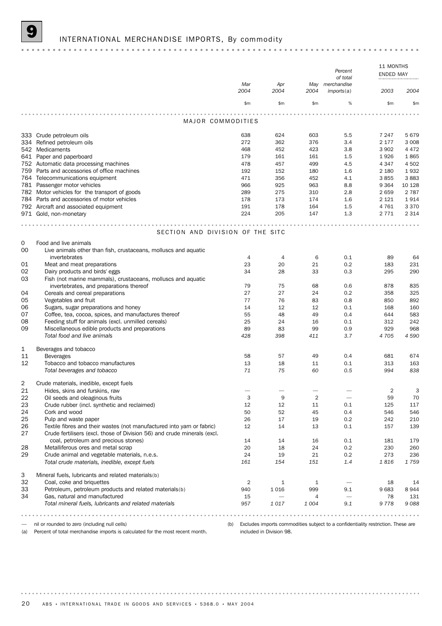# INTERNATIONAL MERCHANDISE IMPORTS, By commodity

|    |                                                                          |             |             |                | Percent<br>of total       | 11 MONTHS<br>ENDED MAY |         |
|----|--------------------------------------------------------------------------|-------------|-------------|----------------|---------------------------|------------------------|---------|
|    |                                                                          | Mar<br>2004 | Apr<br>2004 | May<br>2004    | merchandise<br>imports(a) | 2003                   | 2004    |
|    |                                                                          | \$m         | \$m         | \$m\$          | $\%$                      | \$m\$                  | \$m     |
|    | MAJOR COMMODITIES                                                        |             |             |                |                           |                        |         |
|    |                                                                          |             |             |                |                           |                        |         |
|    | 333 Crude petroleum oils                                                 | 638         | 624         | 603            | 5.5                       | 7 247                  | 5679    |
|    | 334 Refined petroleum oils                                               | 272         | 362         | 376            | 3.4                       | 2 177                  | 3 0 0 8 |
|    | 542 Medicaments                                                          | 468         | 452         | 423            | 3.8                       | 3 9 0 2                | 4 4 7 2 |
|    | 641 Paper and paperboard                                                 | 179         | 161         | 161            | 1.5                       | 1926                   | 1865    |
|    | 752 Automatic data processing machines                                   | 478         | 457         | 499            | 4.5                       | 4 3 4 7                | 4 5 0 2 |
|    | 759 Parts and accessories of office machines                             | 192         | 152         | 180            | 1.6                       | 2 1 8 0                | 1932    |
|    | 764 Telecommunications equipment                                         | 471         | 356         | 452            | 4.1                       | 3855                   | 3883    |
|    | 781 Passenger motor vehicles                                             | 966         | 925         | 963            | 8.8                       | 9 3 6 4                | 10 128  |
|    | 782 Motor vehicles for the transport of goods                            | 289         | 275         | 310            | 2.8                       | 2659                   | 2 7 8 7 |
|    | 784 Parts and accessories of motor vehicles                              | 178         | 173         | 174            | 1.6                       | 2 1 2 1                | 1914    |
|    | 792 Aircraft and associated equipment                                    | 191         | 178         | 164            | 1.5                       | 4 7 6 1                | 3 3 7 0 |
|    | 971 Gold, non-monetary                                                   | 224         | 205         | 147            | 1.3                       | 2 7 7 1                | 2 3 1 4 |
|    | SECTION AND DIVISION OF THE SITC                                         |             |             |                |                           |                        |         |
| 0  | Food and live animals                                                    |             |             |                |                           |                        |         |
| 00 | Live animals other than fish, crustaceans, molluscs and aquatic          |             |             |                |                           |                        |         |
|    | invertebrates                                                            | 4           | 4           | 6              | 0.1                       | 89                     | 64      |
| 01 | Meat and meat preparations                                               | 23          | 20          | 21             | 0.2                       | 183                    | 231     |
| 02 | Dairy products and birds' eggs                                           | 34          | 28          | 33             | 0.3                       | 295                    | 290     |
| 03 | Fish (not marine mammals), crustaceans, molluscs and aquatic             |             |             |                |                           |                        |         |
|    | invertebrates, and preparations thereof                                  | 79          | 75          | 68             | 0.6                       | 878                    | 835     |
| 04 | Cereals and cereal preparations                                          | 27          | 27          | 24             | 0.2                       | 358                    | 325     |
| 05 | Vegetables and fruit                                                     | 77          | 76          | 83             | 0.8                       | 850                    | 892     |
| 06 | Sugars, sugar preparations and honey                                     | 14          | 12          | 12             | 0.1                       | 168                    | 160     |
| 07 | Coffee, tea, cocoa, spices, and manufactures thereof                     | 55          | 48          | 49             | 0.4                       | 644                    | 583     |
| 08 | Feeding stuff for animals (excl. unmilled cereals)                       | 25          | 24          | 16             | 0.1                       | 312                    | 242     |
| 09 | Miscellaneous edible products and preparations                           | 89          | 83          | 99             | 0.9                       | 929                    | 968     |
|    | Total food and live animals                                              | 428         | 398         | 411            | 3.7                       | 4705                   | 4 5 9 0 |
|    |                                                                          |             |             |                |                           |                        |         |
| 1  | Beverages and tobacco                                                    |             |             |                |                           |                        |         |
| 11 | <b>Beverages</b>                                                         | 58          | 57          | 49             | 0.4                       | 681                    | 674     |
| 12 | Tobacco and tobacco manufactures                                         | 13          | 18          | 11             | 0.1                       | 313                    | 163     |
|    | Total beverages and tobacco                                              | 71          | 75          | 60             | 0.5                       | 994                    | 838     |
| 2  | Crude materials, inedible, except fuels                                  |             |             |                |                           |                        |         |
| 21 | Hides, skins and furskins, raw                                           |             |             |                |                           | 2                      | 3       |
| 22 | Oil seeds and oleaginous fruits                                          | 3           | 9           | $\overline{2}$ |                           | 59                     | 70      |
| 23 | Crude rubber (incl. synthetic and reclaimed)                             | 12          | 12          | 11             | 0.1                       | 125                    | 117     |
| 24 | Cork and wood                                                            | 50          | 52          | 45             | 0.4                       | 546                    | 546     |
| 25 | Pulp and waste paper                                                     | 26          | 17          | 19             | 0.2                       | 242                    | 210     |
| 26 | Textile fibres and their wastes (not manufactured into yarn or fabric)   | 12          | 14          | 13             | 0.1                       | 157                    | 139     |
| 27 | Crude fertilisers (excl. those of Division 56) and crude minerals (excl. |             |             |                |                           |                        |         |
|    | coal, petroleum and precious stones)                                     | 14          | 14          | 16             | 0.1                       | 181                    | 179     |
| 28 | Metalliferous ores and metal scrap                                       | 20          | 18          | 24             | 0.2                       | 230                    | 260     |
| 29 | Crude animal and vegetable materials, n.e.s.                             | 24          | 19          | 21             | 0.2                       | 273                    | 236     |
|    | Total crude materials, inedible, except fuels                            | 161         | 154         | 151            | 1.4                       | 1816                   | 1759    |
| З  | Mineral fuels, lubricants and related materials(b)                       |             |             |                |                           |                        |         |
| 32 | Coal, coke and briquettes                                                | 2           | 1           | 1              |                           | 18                     | 14      |
| 33 | Petroleum, petroleum products and related materials(b)                   | 940         | 1016        | 999            | 9.1                       | 9683                   | 8944    |
| 34 | Gas, natural and manufactured                                            | 15          | -           | 4              | $\qquad \qquad$           | 78                     | 131     |
|    | Total mineral fuels, lubricants and related materials                    | 957         | 1017        | 1004           | 9.1                       | 9778                   | 9088    |
|    |                                                                          |             |             |                |                           |                        |         |

— nil or rounded to zero (including null cells)

(b) Excludes imports commodities subject to a confidentiality restriction. These are included in Division 98.

(a) Percent of total merchandise imports is calculated for the most recent month.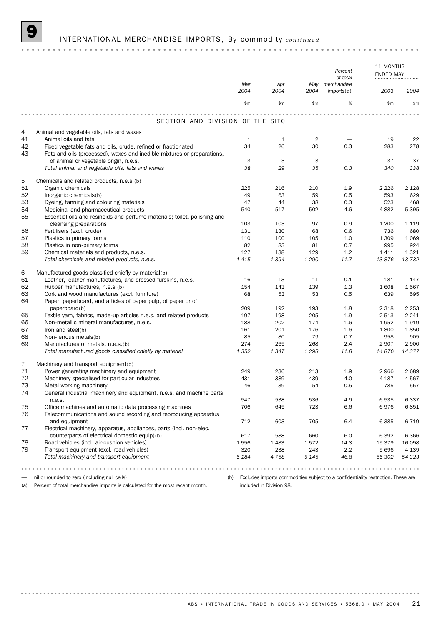# 9 INTERNATIONAL MERCHANDISE IMPORTS, By commodity *continued*

|    |                                                                           | Mar     | Apr  | May            | Percent<br>of total<br>merchandise                                                   | 11 MONTHS<br>ENDED MAY |         |
|----|---------------------------------------------------------------------------|---------|------|----------------|--------------------------------------------------------------------------------------|------------------------|---------|
|    |                                                                           | 2004    | 2004 | 2004           | imports(a)                                                                           | 2003                   | 2004    |
|    |                                                                           | \$m     | \$m  | \$m\$          | %                                                                                    | \$m\$                  | \$m     |
|    |                                                                           |         |      |                |                                                                                      |                        |         |
|    | SECTION AND DIVISION OF THE SITC                                          |         |      |                |                                                                                      |                        |         |
| 4  | Animal and vegetable oils, fats and waxes                                 |         |      |                |                                                                                      |                        |         |
| 41 | Animal oils and fats                                                      | 1       | 1    | $\overline{2}$ |                                                                                      | 19                     | 22      |
| 42 | Fixed vegetable fats and oils, crude, refined or fractionated             | 34      | 26   | 30             | 0.3                                                                                  | 283                    | 278     |
| 43 | Fats and oils (processed), waxes and inedible mixtures or preparations,   |         |      |                |                                                                                      |                        |         |
|    | of animal or vegetable origin, n.e.s.                                     | 3       | 3    | 3              |                                                                                      | 37                     | 37      |
|    | Total animal and vegetable oils, fats and waxes                           | 38      | 29   | 35             | 0.3                                                                                  | 340                    | 338     |
| 5  | Chemicals and related products, n.e.s.(b)                                 |         |      |                |                                                                                      |                        |         |
| 51 | Organic chemicals                                                         | 225     | 216  | 210            | 1.9                                                                                  | 2 2 2 6                | 2 1 2 8 |
| 52 | Inorganic chemicals(b)                                                    | 49      | 63   | 59             | 0.5                                                                                  | 593                    | 629     |
| 53 | Dyeing, tanning and colouring materials                                   | 47      | 44   | 38             | 0.3                                                                                  | 523                    | 468     |
| 54 | Medicinal and pharmaceutical products                                     | 540     | 517  | 502            | 4.6                                                                                  | 4882                   | 5 3 9 5 |
| 55 | Essential oils and resinoids and perfume materials; toilet, polishing and |         |      |                |                                                                                      |                        |         |
|    | cleansing preparations                                                    | 103     | 103  | 97             | 0.9                                                                                  | 1 200                  | 1 1 1 9 |
| 56 | Fertilisers (excl. crude)                                                 | 131     | 130  | 68             | 0.6                                                                                  | 736                    | 680     |
| 57 | Plastics in primary forms                                                 | 110     | 100  | 105            | 1.0                                                                                  | 1 3 0 9                | 1 0 6 9 |
| 58 | Plastics in non-primary forms                                             | 82      | 83   | 81             | 0.7                                                                                  | 995                    | 924     |
| 59 | Chemical materials and products, n.e.s.                                   | 127     | 138  | 129            | 1.2                                                                                  | 1411                   | 1 3 2 1 |
|    | Total chemicals and related products, n.e.s.                              | 1415    | 1394 | 1 2 9 0        | 11.7                                                                                 | 13876                  | 13 7 32 |
| 6  | Manufactured goods classified chiefly by material(b)                      |         |      |                |                                                                                      |                        |         |
| 61 | Leather, leather manufactures, and dressed furskins, n.e.s.               | 16      | 13   | 11             | 0.1                                                                                  | 181                    | 147     |
| 62 | Rubber manufactures, n.e.s.(b)                                            | 154     | 143  | 139            | 1.3                                                                                  | 1608                   | 1567    |
| 63 | Cork and wood manufactures (excl. furniture)                              | 68      | 53   | 53             | 0.5                                                                                  | 639                    | 595     |
| 64 | Paper, paperboard, and articles of paper pulp, of paper or of             |         |      |                |                                                                                      |                        |         |
|    | paperboard(b)                                                             | 209     | 192  | 193            | 1.8                                                                                  | 2 3 1 8                | 2 2 5 3 |
| 65 | Textile yarn, fabrics, made-up articles n.e.s. and related products       | 197     | 198  | 205            | 1.9                                                                                  | 2 5 1 3                | 2 2 4 1 |
| 66 | Non-metallic mineral manufactures, n.e.s.                                 | 188     | 202  | 174            | 1.6                                                                                  | 1952                   | 1919    |
| 67 | Iron and steel(b)                                                         | 161     | 201  | 176            | 1.6                                                                                  | 1800                   | 1850    |
| 68 | Non-ferrous metals(b)                                                     | 85      | 80   | 79             | 0.7                                                                                  | 958                    | 905     |
| 69 | Manufactures of metals, n.e.s.(b)                                         | 274     | 265  | 268            | 2.4                                                                                  | 2 9 0 7                | 2 9 0 0 |
|    | Total manufactured goods classified chiefly by material                   | 1 3 5 2 | 1347 | 1 2 9 8        | 11.8                                                                                 | 14876                  | 14 377  |
| 7  | Machinery and transport equipment(b)                                      |         |      |                |                                                                                      |                        |         |
| 71 | Power generating machinery and equipment                                  | 249     | 236  | 213            | 1.9                                                                                  | 2966                   | 2689    |
| 72 | Machinery specialised for particular industries                           | 431     | 389  | 439            | 4.0                                                                                  | 4 1 8 7                | 4567    |
| 73 | Metal working machinery                                                   | 46      | 39   | 54             | 0.5                                                                                  | 785                    | 557     |
| 74 | General industrial machinery and equipment, n.e.s. and machine parts,     |         |      |                |                                                                                      |                        |         |
|    | n.e.s.                                                                    | 547     | 538  | 536            | 4.9                                                                                  | 6535                   | 6337    |
| 75 | Office machines and automatic data processing machines                    | 706     | 645  | 723            | 6.6                                                                                  | 6976                   | 6851    |
| 76 | Telecommunications and sound recording and reproducing apparatus          |         |      |                |                                                                                      |                        |         |
|    | and equipment                                                             | 712     | 603  | 705            | 6.4                                                                                  | 6 3 8 5                | 6719    |
| 77 | Electrical machinery, apparatus, appliances, parts (incl. non-elec.       |         |      |                |                                                                                      |                        |         |
|    | counterparts of electrical domestic equip)(b)                             | 617     | 588  | 660            | 6.0                                                                                  | 6 3 9 2                | 6 3 6 6 |
| 78 | Road vehicles (incl. air-cushion vehicles)                                | 1556    | 1483 | 1572           | 14.3                                                                                 | 15 379                 | 16 098  |
| 79 | Transport equipment (excl. road vehicles)                                 | 320     | 238  | 243            | 2.2                                                                                  | 5696                   | 4 1 3 9 |
|    | Total machinery and transport equipment                                   | 5 1 8 4 | 4758 | 5 1 4 5        | 46.8                                                                                 | 55 302                 | 54 323  |
|    |                                                                           |         |      |                |                                                                                      |                        |         |
|    | nil or rounded to zero (including null cells)                             |         |      |                | (b) Excludes imports commodities subject to a confidentiality restriction. These are |                        |         |

(a) Percent of total merchandise imports is calculated for the most recent month.

. . . . . . . . . .

(b) Excludes imports commodities subject to a confidentiality restriction. These are included in Division 98.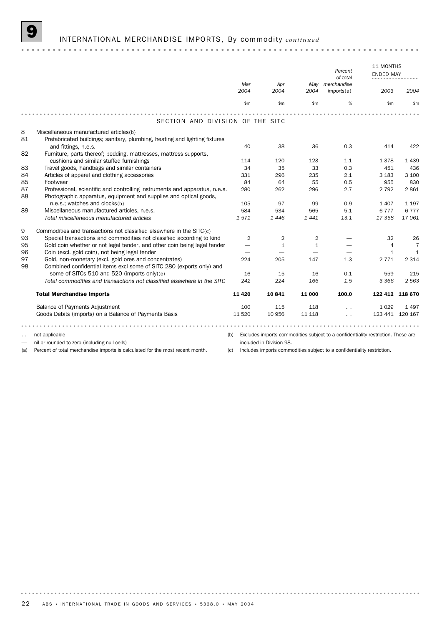### 9 INTERNATIONAL MERCHANDISE IMPORTS, By commodity *continued*

11 MONTHS Percent<br>
of total **ENDED**MAY **PERCELL**MAY **PERCELL**MAY **PERCELL**MAY **PERCELL**MAY **PERCELL**MAY **PERCELL** *of total Mar Apr May merchandise 2004 2004 2004 imports*(a) *2003 2004* \$m \$m \$m % \$m \$m  $2.2.2.2.1$ SECTION AND DIVISION OF THE SITC 8 Miscellaneous manufactured articles(b) 81 Prefabricated buildings; sanitary, plumbing, heating and lighting fixtures and fittings, n.e.s. 40 38 36 0.3 414 422  $82$ Furniture, parts thereof; bedding, mattresses, mattress supports, cushions and similar stuffed furnishings 114 120 123 1.1 1 378 1 439 83 Travel goods, handbags and similar containers 34 35 33 0.3 451 436 84 Articles of apparel and clothing accessories 331 331 296 235 2.1 3 183 3 100<br>85 Footwear 331 296 235 2.1 3 183 3 100 85 Footwear 84 64 55 0.5 955 830 87 Professional, scientific and controlling instruments and apparatus, n.e.s. 280 262 296 2.7 2 792 2 861 88 Photographic apparatus, equipment and supplies and optical goods, n.e.s.; watches and clocks(b) 105 97 99 0.9 1 407 1 197 89 Miscellaneous manufactured articles, n.e.s. 584 534 565 5.1 6 777 6 777 *Total miscellaneous manufactured articles 1 571 1 446 1 441 13.1 17 358 17 061* 9 Commodities and transactions not classified elsewhere in the SITC(c) 93 Special transactions and commodities not classified according to kind  $2$  2 2  $-$  2  $-$  32 26 95 Gold coin whether or not legal tender, and other coin being legal tender  $-$  1 1  $-$  1  $-$  4 7 96 Coin (excl. gold coin), not being legal tender  $1$  1 97 Gold, non-monetary (excl. gold ores and concentrates) 224 205 147 1.3 2 771 2 314 98 Combined confidential items excl some of SITC 280 (exports only) and some of SITCs 510 and 520 (imports only)(c) 16 15 16 0.1 559 215 *Total commodities and transactions not classified elsewhere in the SITC 242 224 166 1.5 3 366 2 563* Total Merchandise Imports 11 420 10 841 11 000 100.0 122 412 118 670 Balance of Payments Adjustment 100 115 118 . . 1029 1497 Goods Debits (imports) on a Balance of Payments Basis 11 520 10 956 11 118 . . . 123 441 120 167 not applicable (b) Excludes imports commodities subject to a confidentiality restriction. These are — nil or rounded to zero (including null cells) included in Division 98.

(a) Percent of total merchandise imports is calculated for the most recent month.

(c) Includes imports commodities subject to a confidentiality restriction.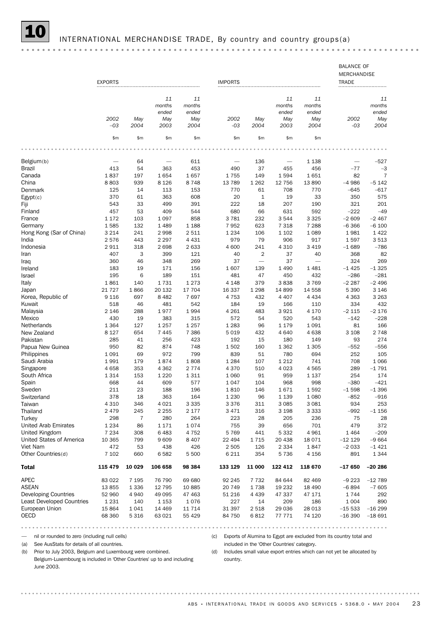# INTERNATIONAL MERCHANDISE TRADE, By country and country groups(a)

|                                                                         | <b>EXPORTS</b>  |            |                    |                 | <b>IMPORTS</b>   |                |                                             |                    | <b>BALANCE OF</b><br>MERCHANDISE<br><b>TRADE</b>                      |                 |
|-------------------------------------------------------------------------|-----------------|------------|--------------------|-----------------|------------------|----------------|---------------------------------------------|--------------------|-----------------------------------------------------------------------|-----------------|
|                                                                         |                 |            |                    |                 |                  |                |                                             |                    |                                                                       |                 |
|                                                                         |                 |            | 11<br>months       | 11<br>months    |                  |                | 11<br>months                                | 11<br>months       |                                                                       | 11<br>months    |
|                                                                         |                 |            | ended              | ended           |                  |                | ended                                       | ended              |                                                                       | ended           |
|                                                                         | 2002            | May        | May                | May             | 2002             | May            | May                                         | May                | 2002                                                                  | May             |
|                                                                         | $-03$           | 2004       | 2003               | 2004            | $-03$            | 2004           | 2003                                        | 2004               | $-03$                                                                 | 2004            |
|                                                                         | \$m             | \$m        | \$m                | \$m             | \$m\$            | \$m            | \$m                                         | \$m                |                                                                       |                 |
|                                                                         |                 |            |                    |                 |                  |                |                                             |                    |                                                                       |                 |
| Belgium(b)                                                              |                 | 64         |                    | 611             |                  | 136            |                                             | 1 1 3 8            |                                                                       | -527            |
| Brazil                                                                  | 413             | 54         | 363                | 453             | 490              | 37             | 455                                         | 456                | $-77$                                                                 | $-3$            |
| Canada                                                                  | 1837            | 197        | 1654               | 1657            | 1755             | 149            | 1594                                        | 1651               | 82                                                                    | $\overline{7}$  |
| China                                                                   | 8803            | 939        | 8 1 2 6            | 8748            | 13 7 89          | 1 2 6 2        | 12 756                                      | 13890              | $-4986$                                                               | $-5142$         |
| Denmark                                                                 | 125             | 14         | 113                | 153             | 770              | 61             | 708                                         | 770                | -645                                                                  | $-617$          |
| Egypt(c)                                                                | 370             | 61         | 363                | 608             | 20               | $\mathbf{1}$   | 19                                          | 33                 | 350                                                                   | 575             |
| Fiji                                                                    | 543             | 33         | 499                | 391             | 222              | 18             | 207                                         | 190                | 321                                                                   | 201             |
| Finland                                                                 | 457             | 53         | 409                | 544             | 680              | 66             | 631                                         | 592                | $-222$                                                                | $-49$           |
| France                                                                  | 1 1 7 2         | 103        | 1 0 9 7            | 858             | 3781             | 232            | 3544                                        | 3 3 2 5            | $-2609$                                                               | $-2467$         |
| Germany<br>Hong Kong (Sar of China)                                     | 1585<br>3 2 1 4 | 132<br>241 | 1 4 8 9<br>2998    | 1 1 8 8<br>2511 | 7952<br>1 2 3 4  | 623<br>106     | 7 3 1 8<br>1 1 0 2                          | 7 2 8 8<br>1 0 8 9 | $-6366$<br>1981                                                       | $-6100$<br>1422 |
| India                                                                   | 2576            | 443        | 2 2 9 7            | 4 4 3 1         | 979              | 79             | 906                                         | 917                | 1597                                                                  | 3513            |
| Indonesia                                                               | 2911            | 318        | 2698               | 2 6 3 3         | 4600             | 241            | 4 3 1 0                                     | 3 4 1 9            | $-1689$                                                               | $-786$          |
| Iran                                                                    | 407             | 3          | 399                | 121             | 40               | $\overline{2}$ | 37                                          | 40                 | 368                                                                   | 82              |
| Iraq                                                                    | 360             | 46         | 348                | 269             | 37               |                | 37                                          |                    | 324                                                                   | 269             |
| Ireland                                                                 | 183             | 19         | 171                | 156             | 1607             | 139            | 1 4 9 0                                     | 1481               | $-1425$                                                               | $-1325$         |
| Israel                                                                  | 195             | 6          | 189                | 151             | 481              | 47             | 450                                         | 432                | $-286$                                                                | $-281$          |
| Italy                                                                   | 1861            | 140        | 1731               | 1 2 7 3         | 4 1 4 8          | 379            | 3838                                        | 3769               | $-2287$                                                               | $-2496$         |
| Japan                                                                   | 21 7 27         | 1866       | 20 132             | 17 704          | 16 337           | 1 2 9 8        | 14 8 99                                     | 14 558             | 5 3 9 0                                                               | 3 1 4 6         |
| Korea, Republic of                                                      | 9 1 1 6         | 697        | 8 4 8 2            | 7697            | 4753             | 432            | 4 4 0 7                                     | 4 4 3 4            | 4 3 6 3                                                               | 3 2 6 3         |
| Kuwait                                                                  | 518             | 46         | 481                | 542             | 184              | 19             | 166                                         | 110                | 334                                                                   | 432             |
| Malaysia                                                                | 2 1 4 6         | 288        | 1977               | 1994            | 4 2 6 1          | 483            | 3921                                        | 4 170              | $-2115$                                                               | $-2176$         |
| Mexico                                                                  | 430             | 19         | 383                | 315             | 572              | 54             | 520                                         | 543                | $-142$                                                                | $-228$          |
| Netherlands                                                             | 1 3 6 4         | 127        | 1 2 5 7            | 1 2 5 7         | 1 2 8 3          | 96             | 1 1 7 9                                     | 1 0 9 1            | 81                                                                    | 166             |
| New Zealand                                                             | 8 1 2 7         | 654        | 7 4 4 5            | 7 3 8 6         | 5019             | 432            | 4640                                        | 4638               | 3 1 0 8                                                               | 2 7 4 8         |
| Pakistan                                                                | 285             | 41         | 256                | 423             | 192              | 15             | 180                                         | 149                | 93                                                                    | 274             |
| Papua New Guinea                                                        | 950             | 82         | 874                | 748             | 1502             | 160            | 1 3 6 2                                     | 1 3 0 5            | $-552$                                                                | $-556$          |
| Philippines                                                             | 1 0 9 1         | 69         | 972                | 799             | 839              | 51             | 780                                         | 694                | 252                                                                   | 105             |
| Saudi Arabia                                                            | 1991            | 179        | 1874               | 1808            | 1 2 8 4          | 107            | 1 2 1 2                                     | 741                | 708                                                                   | 1 0 6 6         |
| Singapore<br>South Africa                                               | 4658<br>1 3 1 4 | 353<br>153 | 4 3 6 2<br>1 2 2 0 | 2 7 7 4<br>1311 | 4 370<br>1 0 6 0 | 510<br>91      | 4 0 23<br>959                               | 4565<br>1 1 3 7    | 289<br>254                                                            | $-1791$<br>174  |
| Spain                                                                   | 668             | 44         | 609                | 577             | 1047             | 104            | 968                                         | 998                | $-380$                                                                | $-421$          |
| Sweden                                                                  | 211             | 23         | 188                | 196             | 1810             | 146            | 1671                                        | 1592               | $-1598$                                                               | $-1396$         |
| Switzerland                                                             | 378             | 18         | 363                | 164             | 1 2 3 0          | 96             | 1 1 3 9                                     | 1 0 8 0            | $-852$                                                                | -916            |
| Taiwan                                                                  | 4 3 1 0         | 346        | 4 0 2 1            | 3 3 3 5         | 3376             | 311            | 3 0 8 5                                     | 3 0 8 1            | 934                                                                   | 253             |
| Thailand                                                                | 2479            | 245        | 2 2 5 5            | 2 1 7 7         | 3 4 7 1          | 316            | 3 1 9 8                                     | 3 3 3 3            | $-992$                                                                | $-1156$         |
| Turkey                                                                  | 298             | 7          | 280                | 264             | 223              | 28             | 205                                         | 236                | 75                                                                    | 28              |
| <b>United Arab Emirates</b>                                             | 1 2 3 4         | 86         | 1 1 7 1            | 1074            | 755              | 39             | 656                                         | 701                | 479                                                                   | 372             |
| United Kingdom                                                          | 7 2 3 4         | 308        | 6483               | 4 7 5 2         | 5 769            | 441            | 5 3 3 2                                     | 4961               | 1464                                                                  | $-209$          |
| United States of America                                                | 10 365          | 799        | 9609               | 8 4 0 7         | 22 4 94          | 1715           | 20 438                                      | 18 0 7 1           | $-12129$                                                              | $-9664$         |
| Viet Nam                                                                | 472             | 53         | 438                | 426             | 2 5 0 5          | 126            | 2 3 3 4                                     | 1847               | $-2033$                                                               | $-1421$         |
| Other Countries(d)                                                      | 7 1 0 2         | 660        | 6582               | 5 500           | 6 2 1 1          | 354            | 5736                                        | 4 1 5 6            | 891                                                                   | 1 3 4 4         |
| <b>Total</b>                                                            | 115 479         | 10 029     | 106 658            | 98 384          | 133 129          | 11 000         | 122 412                                     | 118 670            | $-17650$                                                              | $-20286$        |
| APEC                                                                    | 83 0 22         | 7 1 9 5    | 76 790             | 69 680          | 92 245           | 7 7 3 2        | 84 644                                      | 82 469             | $-9223$                                                               | $-12789$        |
| <b>ASEAN</b>                                                            | 13855           | 1 3 3 6    | 12 795             | 10885           | 20 749           | 1738           | 19 232                                      | 18 4 90            | $-6894$                                                               | $-7605$         |
| <b>Developing Countries</b>                                             | 52 960          | 4940       | 49 0 95            | 47 463          | 51 216           | 4 4 3 9        | 47 337                                      | 47 171             | 1744                                                                  | 292             |
| <b>Least Developed Countries</b>                                        | 1 2 3 1         | 140        | 1 1 5 3            | 1076            | 227              | 14             | 209                                         | 186                | 1 0 0 4                                                               | 890             |
| European Union                                                          | 15864           | 1041       | 14 4 69            | 11 7 14         | 31 397           | 2 5 1 8        | 29 0 36                                     | 28 013             | $-15533$                                                              | $-16299$        |
| <b>OECD</b>                                                             | 68 360          | 5 3 1 6    | 63 0 21            | 55 4 29         | 84 750           | 6812           | 77 771                                      | 74 120             | $-16390$                                                              | $-18691$        |
|                                                                         |                 |            |                    |                 |                  |                | $- - - - -$                                 |                    |                                                                       | .               |
| nil or rounded to zero (including null cells)                           |                 |            |                    |                 | (c)              |                |                                             |                    | Exports of Alumina to Egypt are excluded from its country total and   |                 |
| See AusStats for details of all countries.<br>(a)                       |                 |            |                    |                 |                  |                | included in the 'Other Countries' category. |                    |                                                                       |                 |
| Prior to July 2003, Belgium and Luxembourg were combined.<br>(b)        |                 |            |                    |                 | (d)              |                |                                             |                    | Includes small value export entries which can not yet be allocated by |                 |
| Belgium-Luxembourg is included in 'Other Countries' up to and including |                 |            |                    |                 | country.         |                |                                             |                    |                                                                       |                 |
| June 2003.                                                              |                 |            |                    |                 |                  |                |                                             |                    |                                                                       |                 |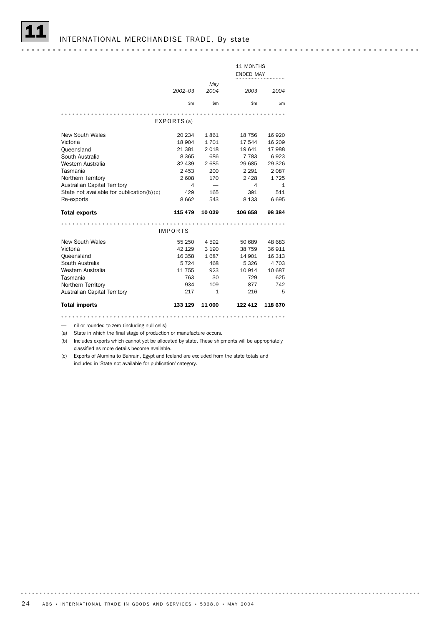|                                               |                |              | 11 MONTHS        |              |
|-----------------------------------------------|----------------|--------------|------------------|--------------|
|                                               |                |              | <b>ENDED MAY</b> |              |
|                                               |                | May          |                  |              |
|                                               | $2002 - 03$    | 2004         | 2003             | 2004         |
|                                               |                |              |                  |              |
|                                               | \$m\$          | \$m\$        | \$m              | \$m          |
|                                               |                |              |                  |              |
|                                               | EXPORTS(a)     |              |                  |              |
|                                               |                |              |                  |              |
| New South Wales                               | 20 234         | 1861         | 18 756           | 16 9 20      |
| Victoria                                      | 18 904         | 1701         | 17 544           | 16 209       |
| Queensland                                    | 21 381         | 2018         | 19 641           | 17 988       |
| South Australia                               | 8 3 6 5        | 686          | 7 7 8 3          | 6923         |
| Western Australia                             | 32 439         | 2685         | 29 685           | 29 3 26      |
| Tasmania                                      | 2 4 5 3        | 200          | 2 2 9 1          | 2087         |
| Northern Territory                            | 2 608          | 170          | 2 4 2 8          | 1725         |
| <b>Australian Capital Territory</b>           | 4              |              | 4                | $\mathbf{1}$ |
| State not available for publication( $b$ )(c) | 429            | 165          | 391              | 511          |
| Re-exports                                    | 8 6 6 2        | 543          | 8 1 3 3          | 6695         |
|                                               |                |              |                  |              |
| <b>Total exports</b>                          | 115 479        | 10 029       | 106 658          | 98 384       |
|                                               |                |              |                  |              |
|                                               | <b>IMPORTS</b> |              |                  |              |
| New South Wales                               | 55 250         | 4592         | 50 689           | 48 683       |
| Victoria                                      | 42 129         | 3 1 9 0      | 38 759           | 36 911       |
| Queensland                                    | 16 358         | 1687         | 14 901           | 16 313       |
| South Australia                               | 5 7 2 4        | 468          | 5 3 2 6          | 4 703        |
| Western Australia                             | 11 755         | 923          | 10 914           | 10 687       |
| Tasmania                                      | 763            | 30           | 729              | 625          |
| Northern Territory                            | 934            | 109          | 877              | 742          |
| Australian Capital Territory                  | 217            | $\mathbf{1}$ | 216              | 5            |
|                                               |                |              |                  |              |
| <b>Total imports</b>                          | 133 129        | 11 000       | 122 412          | 118 670      |

— nil or rounded to zero (including null cells)

(a) State in which the final stage of production or manufacture occurs.

(b) Includes exports which cannot yet be allocated by state. These shipments will be appropriately classified as more details become available.

(c) Exports of Alumina to Bahrain, Egypt and Iceland are excluded from the state totals and included in 'State not available for publication' category.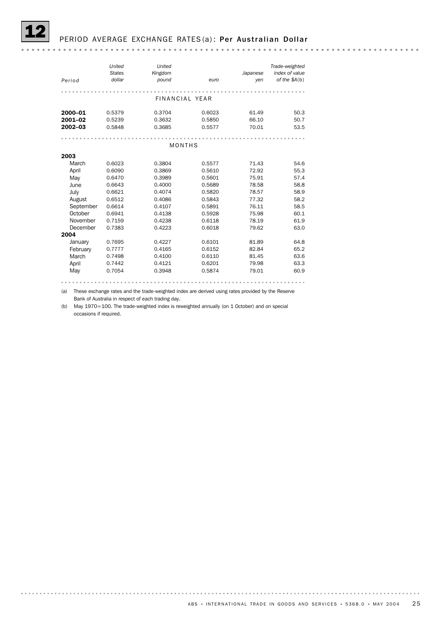

# PERIOD AVERAGE EXCHANGE RATES (a): Per Australian Dollar

| Period    | United<br><b>States</b><br>dollar | United<br>Kingdom<br>pound | euro   | Japanese<br>yen | Trade-weighted<br>index of value<br>of the $$A(b)$ |
|-----------|-----------------------------------|----------------------------|--------|-----------------|----------------------------------------------------|
|           |                                   |                            |        |                 |                                                    |
|           |                                   | FINANCIAL YEAR             |        |                 |                                                    |
| 2000-01   | 0.5379                            | 0.3704                     | 0.6023 | 61.49           | 50.3                                               |
| 2001-02   | 0.5239                            | 0.3632                     | 0.5850 | 66.10           | 50.7                                               |
| 2002-03   | 0.5848                            | 0.3685                     | 0.5577 | 70.01           | 53.5                                               |
|           |                                   |                            |        |                 |                                                    |
|           |                                   | MONTHS                     |        |                 |                                                    |
| 2003      |                                   |                            |        |                 |                                                    |
| March     | 0.6023                            | 0.3804                     | 0.5577 | 71.43           | 54.6                                               |
| April     | 0.6090                            | 0.3869                     | 0.5610 | 72.92           | 55.3                                               |
| May       | 0.6470                            | 0.3989                     | 0.5601 | 75.91           | 57.4                                               |
| June      | 0.6643                            | 0.4000                     | 0.5689 | 78.58           | 58.8                                               |
| July      | 0.6621                            | 0.4074                     | 0.5820 | 78.57           | 58.9                                               |
| August    | 0.6512                            | 0.4086                     | 0.5843 | 77.32           | 58.2                                               |
| September | 0.6614                            | 0.4107                     | 0.5891 | 76.11           | 58.5                                               |
| October   | 0.6941                            | 0.4138                     | 0.5928 | 75.98           | 60.1                                               |
| November  | 0.7159                            | 0.4238                     | 0.6118 | 78.19           | 61.9                                               |
| December  | 0.7383                            | 0.4223                     | 0.6018 | 79.62           | 63.0                                               |
| 2004      |                                   |                            |        |                 |                                                    |
| January   | 0.7695                            | 0.4227                     | 0.6101 | 81.89           | 64.8                                               |
| February  | 0.7777                            | 0.4165                     | 0.6152 | 82.84           | 65.2                                               |
| March     | 0.7498                            | 0.4100                     | 0.6110 | 81.45           | 63.6                                               |
| April     | 0.7442                            | 0.4121                     | 0.6201 | 79.98           | 63.3                                               |
| May       | 0.7054                            | 0.3948                     | 0.5874 | 79.01           | 60.9                                               |
|           |                                   |                            |        |                 |                                                    |

(a) These exchange rates and the trade-weighted index are derived using rates provided by the Reserve

Bank of Australia in respect of each trading day.

(b) May 1970=100. The trade-weighted index is reweighted annually (on 1 October) and on special occasions if required.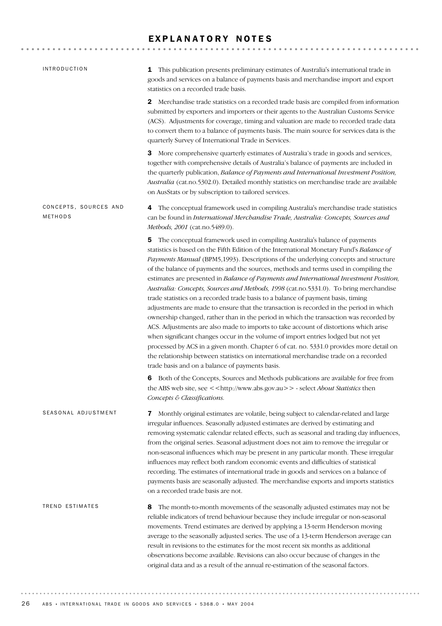# EXPLANATORY NOTES

| <b>INTRODUCTION</b>              | This publication presents preliminary estimates of Australia's international trade in<br>1<br>goods and services on a balance of payments basis and merchandise import and export<br>statistics on a recorded trade basis.                                                                                                                                                                                                                                                                                                                                                                                                                                                                                                                                                                                                                                                                                                                                                                                                                                                                                                                                                                                                          |
|----------------------------------|-------------------------------------------------------------------------------------------------------------------------------------------------------------------------------------------------------------------------------------------------------------------------------------------------------------------------------------------------------------------------------------------------------------------------------------------------------------------------------------------------------------------------------------------------------------------------------------------------------------------------------------------------------------------------------------------------------------------------------------------------------------------------------------------------------------------------------------------------------------------------------------------------------------------------------------------------------------------------------------------------------------------------------------------------------------------------------------------------------------------------------------------------------------------------------------------------------------------------------------|
|                                  | Merchandise trade statistics on a recorded trade basis are compiled from information<br>2<br>submitted by exporters and importers or their agents to the Australian Customs Service<br>(ACS). Adjustments for coverage, timing and valuation are made to recorded trade data<br>to convert them to a balance of payments basis. The main source for services data is the<br>quarterly Survey of International Trade in Services.                                                                                                                                                                                                                                                                                                                                                                                                                                                                                                                                                                                                                                                                                                                                                                                                    |
|                                  | 3 More comprehensive quarterly estimates of Australia's trade in goods and services,<br>together with comprehensive details of Australia's balance of payments are included in<br>the quarterly publication, Balance of Payments and International Investment Position,<br>Australia (cat.no.5302.0). Detailed monthly statistics on merchandise trade are available<br>on AusStats or by subscription to tailored services.                                                                                                                                                                                                                                                                                                                                                                                                                                                                                                                                                                                                                                                                                                                                                                                                        |
| CONCEPTS, SOURCES AND<br>METHODS | The conceptual framework used in compiling Australia's merchandise trade statistics<br>4<br>can be found in International Merchandise Trade, Australia: Concepts, Sources and<br>Methods, 2001 (cat.no.5489.0).                                                                                                                                                                                                                                                                                                                                                                                                                                                                                                                                                                                                                                                                                                                                                                                                                                                                                                                                                                                                                     |
|                                  | The conceptual framework used in compiling Australia's balance of payments<br>5<br>statistics is based on the Fifth Edition of the International Monetary Fund's Balance of<br>Payments Manual (BPM5,1993). Descriptions of the underlying concepts and structure<br>of the balance of payments and the sources, methods and terms used in compiling the<br>estimates are presented in Balance of Payments and International Investment Position,<br>Australia: Concepts, Sources and Methods, 1998 (cat.no.5331.0). To bring merchandise<br>trade statistics on a recorded trade basis to a balance of payment basis, timing<br>adjustments are made to ensure that the transaction is recorded in the period in which<br>ownership changed, rather than in the period in which the transaction was recorded by<br>ACS. Adjustments are also made to imports to take account of distortions which arise<br>when significant changes occur in the volume of import entries lodged but not yet<br>processed by ACS in a given month. Chapter 6 of cat. no. 5331.0 provides more detail on<br>the relationship between statistics on international merchandise trade on a recorded<br>trade basis and on a balance of payments basis. |
|                                  | Both of the Concepts, Sources and Methods publications are available for free from<br>6<br>the ABS web site, see << http://www.abs.gov.au>> - select About Statistics then<br>Concepts & Classifications.                                                                                                                                                                                                                                                                                                                                                                                                                                                                                                                                                                                                                                                                                                                                                                                                                                                                                                                                                                                                                           |
| SEASONAL ADJUSTMENT              | Monthly original estimates are volatile, being subject to calendar-related and large<br>7<br>irregular influences. Seasonally adjusted estimates are derived by estimating and<br>removing systematic calendar related effects, such as seasonal and trading day influences,<br>from the original series. Seasonal adjustment does not aim to remove the irregular or<br>non-seasonal influences which may be present in any particular month. These irregular<br>influences may reflect both random economic events and difficulties of statistical<br>recording. The estimates of international trade in goods and services on a balance of<br>payments basis are seasonally adjusted. The merchandise exports and imports statistics<br>on a recorded trade basis are not.                                                                                                                                                                                                                                                                                                                                                                                                                                                       |
| TREND ESTIMATES                  | The month-to-month movements of the seasonally adjusted estimates may not be<br>8<br>reliable indicators of trend behaviour because they include irregular or non-seasonal<br>movements. Trend estimates are derived by applying a 13-term Henderson moving<br>average to the seasonally adjusted series. The use of a 13-term Henderson average can<br>result in revisions to the estimates for the most recent six months as additional<br>observations become available. Revisions can also occur because of changes in the<br>original data and as a result of the annual re-estimation of the seasonal factors.                                                                                                                                                                                                                                                                                                                                                                                                                                                                                                                                                                                                                |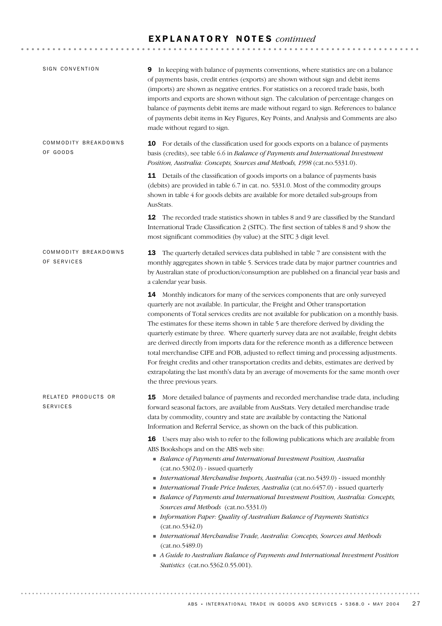# E X P L A N A T O R Y N O T E S *continued*

| SIGN CONVENTION                        | In keeping with balance of payments conventions, where statistics are on a balance<br>9<br>of payments basis, credit entries (exports) are shown without sign and debit items<br>(imports) are shown as negative entries. For statistics on a recored trade basis, both<br>imports and exports are shown without sign. The calculation of percentage changes on<br>balance of payments debit items are made without regard to sign. References to balance<br>of payments debit items in Key Figures, Key Points, and Analysis and Comments are also<br>made without regard to sign.                                                                                                                                                                                                                                                                                            |
|----------------------------------------|--------------------------------------------------------------------------------------------------------------------------------------------------------------------------------------------------------------------------------------------------------------------------------------------------------------------------------------------------------------------------------------------------------------------------------------------------------------------------------------------------------------------------------------------------------------------------------------------------------------------------------------------------------------------------------------------------------------------------------------------------------------------------------------------------------------------------------------------------------------------------------|
| COMMODITY BREAKDOWNS<br>OF GOODS       | <b>10</b> For details of the classification used for goods exports on a balance of payments<br>basis (credits), see table 6.6 in Balance of Payments and International Investment<br>Position, Australia: Concepts, Sources and Methods, 1998 (cat.no.5331.0).<br>11 Details of the classification of goods imports on a balance of payments basis<br>(debits) are provided in table 6.7 in cat. no. 5331.0. Most of the commodity groups                                                                                                                                                                                                                                                                                                                                                                                                                                      |
|                                        | shown in table 4 for goods debits are available for more detailed sub-groups from<br>AusStats.<br>12 The recorded trade statistics shown in tables 8 and 9 are classified by the Standard<br>International Trade Classification 2 (SITC). The first section of tables 8 and 9 show the<br>most significant commodities (by value) at the SITC 3 digit level.                                                                                                                                                                                                                                                                                                                                                                                                                                                                                                                   |
| COMMODITY BREAKDOWNS<br>OF SERVICES    | 13 The quarterly detailed services data published in table 7 are consistent with the<br>monthly aggregates shown in table 5. Services trade data by major partner countries and<br>by Australian state of production/consumption are published on a financial year basis and<br>a calendar year basis.                                                                                                                                                                                                                                                                                                                                                                                                                                                                                                                                                                         |
|                                        | <b>14</b> Monthly indicators for many of the services components that are only surveyed<br>quarterly are not available. In particular, the Freight and Other transportation<br>components of Total services credits are not available for publication on a monthly basis.<br>The estimates for these items shown in table 5 are therefore derived by dividing the<br>quarterly estimate by three. Where quarterly survey data are not available, freight debits<br>are derived directly from imports data for the reference month as a difference between<br>total merchandise CIFE and FOB, adjusted to reflect timing and processing adjustments.<br>For freight credits and other transportation credits and debits, estimates are derived by<br>extrapolating the last month's data by an average of movements for the same month over<br>the three previous years.        |
| RELATED PRODUCTS OR<br><b>SERVICES</b> | <b>15</b> More detailed balance of payments and recorded merchandise trade data, including<br>forward seasonal factors, are available from AusStats. Very detailed merchandise trade<br>data by commodity, country and state are available by contacting the National<br>Information and Referral Service, as shown on the back of this publication.                                                                                                                                                                                                                                                                                                                                                                                                                                                                                                                           |
|                                        | <b>16</b> Users may also wish to refer to the following publications which are available from<br>ABS Bookshops and on the ABS web site:<br>• Balance of Payments and International Investment Position, Australia<br>(cat.no.5302.0) - issued quarterly<br>International Merchandise Imports, Australia (cat.no.5439.0) - issued monthly<br>International Trade Price Indexes, Australia (cat.no.6457.0) - issued quarterly<br>• Balance of Payments and International Investment Position, Australia: Concepts,<br>Sources and Methods (cat.no.5331.0)<br>Information Paper: Quality of Australian Balance of Payments Statistics<br>(cat.no.5342.0)<br>International Merchandise Trade, Australia: Concepts, Sources and Methods<br>(cat.no.5489.0)<br>A Guide to Australian Balance of Payments and International Investment Position<br>Statistics (cat.no.5362.0.55.001). |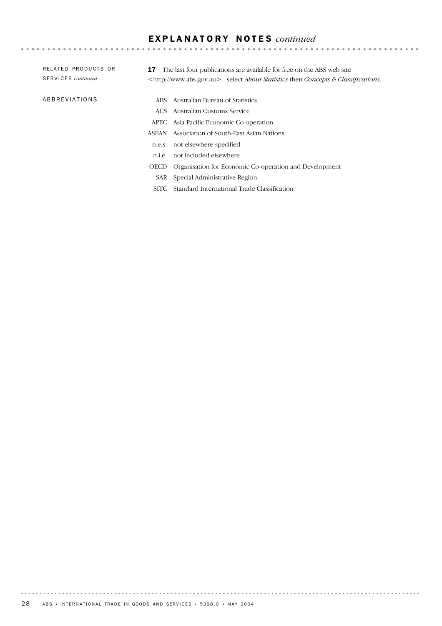# E X P L A N A T O R Y N O T E S *continued*

| RELATED PRODUCTS OR<br>SERVICES continued | The last four publications are available for free on the ABS web site<br>17<br><http: www.abs.gov.au=""> - select <i>About Statistics</i> then <i>Concepts &amp; Classifications</i>.</http:> |  |
|-------------------------------------------|-----------------------------------------------------------------------------------------------------------------------------------------------------------------------------------------------|--|
| ABBREVIATIONS                             | ABS Australian Bureau of Statistics                                                                                                                                                           |  |
|                                           | - Australian Customs Service<br>ACS.                                                                                                                                                          |  |
|                                           | APEC Asia Pacific Economic Co-operation                                                                                                                                                       |  |
|                                           | Association of South-East Asian Nations<br>ASEAN                                                                                                                                              |  |
|                                           | not elsewhere specified<br>n.e.s.                                                                                                                                                             |  |
|                                           | not included elsewhere<br>n.i.e.                                                                                                                                                              |  |
|                                           | Organisation for Economic Co-operation and Development<br><b>OECD</b>                                                                                                                         |  |
|                                           | SAR Special Administrative Region                                                                                                                                                             |  |
|                                           | Standard International Trade Classification<br>SITC.                                                                                                                                          |  |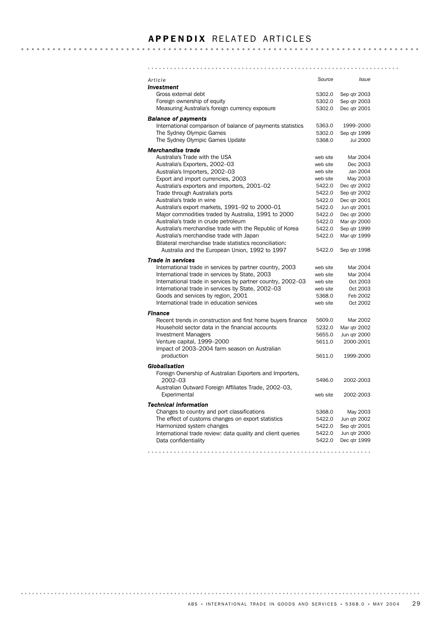# **APPENDIX RELATED ARTICLES**

#### *Article Source Issue Investment* Gross external debt 5302.0 Sep qtr 2003 Foreign ownership of equity extends the state of the 5302.0 Sep qtr 2003 Measuring Australia's foreign currency exposure 5302.0 Dec qtr 2001 *Balance of payments* International comparison of balance of payments statistics 5363.0 1999–2000 The Sydney Olympic Games 6302.0 Sep qtr 1999 The Sydney Olympic Games Update 5368.0 Jul 2000 *Merchandise trade* Australia's Trade with the USA meeting web site Mar 2004 Australia's Exporters, 2002–03 web site Dec 2003 Australia's Importers, 2002–03 web site Jan 2004 Export and import currencies, 2003 web site May 2003 Australia's exporters and importers, 2001–02 5422.0 Dec qtr 2002 Trade through Australia's ports 5422.0 Sep qtr 2002 Australia's trade in wine 1980 and the 5422.0 Dec qtr 2001 Australia's export markets, 1991–92 to 2000–01 5422.0 Jun qtr 2001 Major commodities traded by Australia, 1991 to 2000 5422.0 Dec qtr 2000 Australia's trade in crude petroleum 5422.0 Mar qtr 2000 Australia's merchandise trade with the Republic of Korea 5422.0 Sep qtr 1999 Australia's merchandise trade with Japan 5422.0 Mar qtr 1999 Bilateral merchandise trade statistics reconciliation: Australia and the European Union, 1992 to 1997 5422.0 Sep qtr 1998 *Trade in services* International trade in services by partner country, 2003 web site Mar 2004 International trade in services by State, 2003 web site Mar 2004 International trade in services by partner country, 2002–03 web site Oct 2003 International trade in services by State, 2002–03 web site Oct 2003 Goods and services by region, 2001 65368.0 Feb 2002 International trade in education services web site Oct 2002 *Finance* Recent trends in construction and first home buyers finance 5609.0 Mar 2002 Household sector data in the financial accounts 5232.0 Mar qtr 2002 Investment Managers **1988** and 1999 and 1999 and 1999 and 1999 and 1999 and 1999 and 1999 and 1999 and 1999 and 19 Venture capital, 1999–2000 6611.0 1000-2001 Impact of 2003–2004 farm season on Australian 5611.0 1999-2000 production *Globalisation* Foreign Ownership of Australian Exporters and Importers, 2002–03 5496.0 2002-2003 Australian Outward Foreign Affiliates Trade, 2002–03, web site 2002-2003 **Experimental** *Technical information* Changes to country and port classifications 5368.0 May 2003 The effect of customs changes on export statistics 5422.0 Jun qtr 2002 Harmonized system changes and the state of the 5422.0 Sep qtr 2001 International trade review: data quality and client queries 5422.0 Jun qtr 2000 Data confidentiality 5422.0 Dec qtr 1999